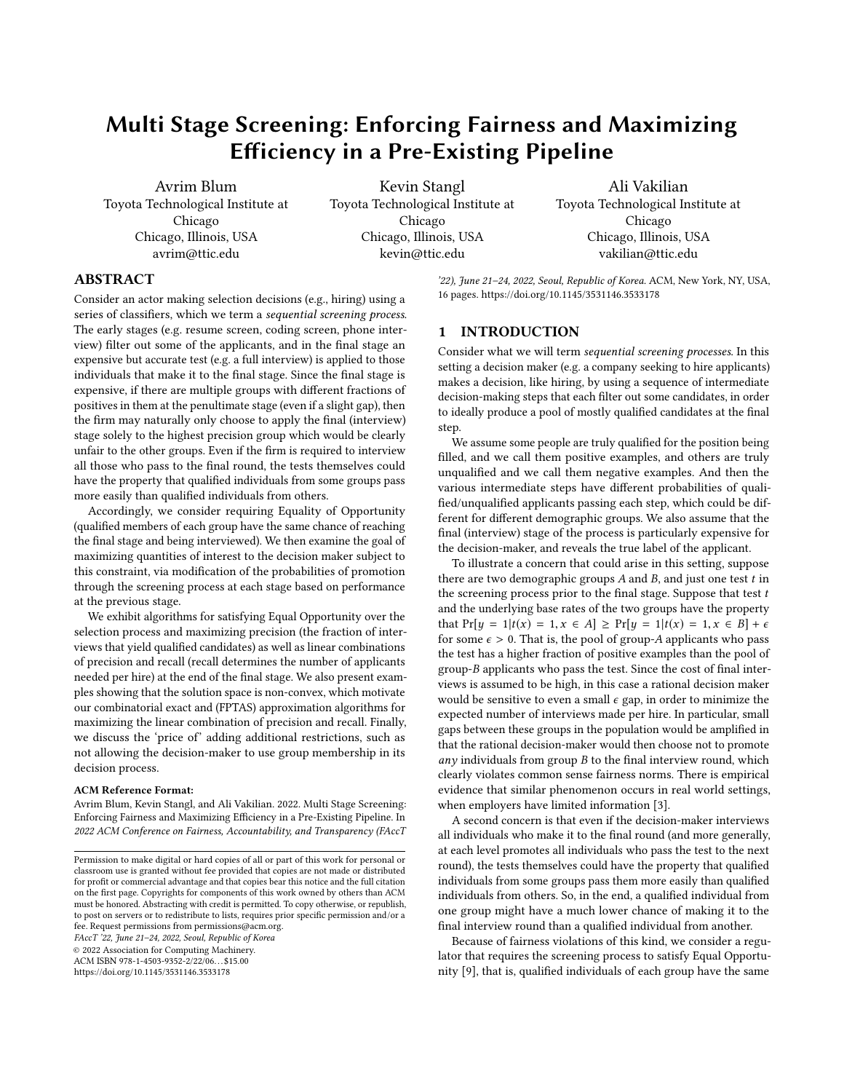# Multi Stage Screening: Enforcing Fairness and Maximizing Efficiency in a Pre-Existing Pipeline

Avrim Blum Toyota Technological Institute at Chicago Chicago, Illinois, USA avrim@ttic.edu

Kevin Stangl Toyota Technological Institute at Chicago Chicago, Illinois, USA kevin@ttic.edu

Ali Vakilian Toyota Technological Institute at Chicago Chicago, Illinois, USA vakilian@ttic.edu

# ABSTRACT

Consider an actor making selection decisions (e.g., hiring) using a series of classifiers, which we term a sequential screening process. The early stages (e.g. resume screen, coding screen, phone interview) filter out some of the applicants, and in the final stage an expensive but accurate test (e.g. a full interview) is applied to those individuals that make it to the final stage. Since the final stage is expensive, if there are multiple groups with different fractions of positives in them at the penultimate stage (even if a slight gap), then the firm may naturally only choose to apply the final (interview) stage solely to the highest precision group which would be clearly unfair to the other groups. Even if the firm is required to interview all those who pass to the final round, the tests themselves could have the property that qualified individuals from some groups pass more easily than qualified individuals from others.

Accordingly, we consider requiring Equality of Opportunity (qualified members of each group have the same chance of reaching the final stage and being interviewed). We then examine the goal of maximizing quantities of interest to the decision maker subject to this constraint, via modification of the probabilities of promotion through the screening process at each stage based on performance at the previous stage.

We exhibit algorithms for satisfying Equal Opportunity over the selection process and maximizing precision (the fraction of interviews that yield qualified candidates) as well as linear combinations of precision and recall (recall determines the number of applicants needed per hire) at the end of the final stage. We also present examples showing that the solution space is non-convex, which motivate our combinatorial exact and (FPTAS) approximation algorithms for maximizing the linear combination of precision and recall. Finally, we discuss the 'price of' adding additional restrictions, such as not allowing the decision-maker to use group membership in its decision process.

#### ACM Reference Format:

Avrim Blum, Kevin Stangl, and Ali Vakilian. 2022. Multi Stage Screening: Enforcing Fairness and Maximizing Efficiency in a Pre-Existing Pipeline. In 2022 ACM Conference on Fairness, Accountability, and Transparency (FAccT

FAccT '22, June 21–24, 2022, Seoul, Republic of Korea

© 2022 Association for Computing Machinery.

ACM ISBN 978-1-4503-9352-2/22/06. . . \$15.00 <https://doi.org/10.1145/3531146.3533178>

'22), June 21-24, 2022, Seoul, Republic of Korea. ACM, New York, NY, USA, [16](#page-15-0) pages.<https://doi.org/10.1145/3531146.3533178>

## 1 INTRODUCTION

Consider what we will term sequential screening processes. In this setting a decision maker (e.g. a company seeking to hire applicants) makes a decision, like hiring, by using a sequence of intermediate decision-making steps that each filter out some candidates, in order to ideally produce a pool of mostly qualified candidates at the final step.

We assume some people are truly qualified for the position being filled, and we call them positive examples, and others are truly unqualified and we call them negative examples. And then the various intermediate steps have different probabilities of qualified/unqualified applicants passing each step, which could be different for different demographic groups. We also assume that the final (interview) stage of the process is particularly expensive for the decision-maker, and reveals the true label of the applicant.

To illustrate a concern that could arise in this setting, suppose there are two demographic groups  $A$  and  $B$ , and just one test  $t$  in the screening process prior to the final stage. Suppose that test  $t$ and the underlying base rates of the two groups have the property that  $Pr[y = 1 | t(x) = 1, x \in A] \geq Pr[y = 1 | t(x) = 1, x \in B] + \epsilon$ for some  $\epsilon > 0$ . That is, the pool of group-A applicants who pass the test has a higher fraction of positive examples than the pool of group-B applicants who pass the test. Since the cost of final interviews is assumed to be high, in this case a rational decision maker would be sensitive to even a small  $\epsilon$  gap, in order to minimize the expected number of interviews made per hire. In particular, small gaps between these groups in the population would be amplified in that the rational decision-maker would then choose not to promote any individuals from group  $B$  to the final interview round, which clearly violates common sense fairness norms. There is empirical evidence that similar phenomenon occurs in real world settings, when employers have limited information [\[3\]](#page-9-0).

A second concern is that even if the decision-maker interviews all individuals who make it to the final round (and more generally, at each level promotes all individuals who pass the test to the next round), the tests themselves could have the property that qualified individuals from some groups pass them more easily than qualified individuals from others. So, in the end, a qualified individual from one group might have a much lower chance of making it to the final interview round than a qualified individual from another.

Because of fairness violations of this kind, we consider a regulator that requires the screening process to satisfy Equal Opportunity [\[9\]](#page-9-1), that is, qualified individuals of each group have the same

Permission to make digital or hard copies of all or part of this work for personal or classroom use is granted without fee provided that copies are not made or distributed for profit or commercial advantage and that copies bear this notice and the full citation on the first page. Copyrights for components of this work owned by others than ACM must be honored. Abstracting with credit is permitted. To copy otherwise, or republish, to post on servers or to redistribute to lists, requires prior specific permission and/or a fee. Request permissions from permissions@acm.org.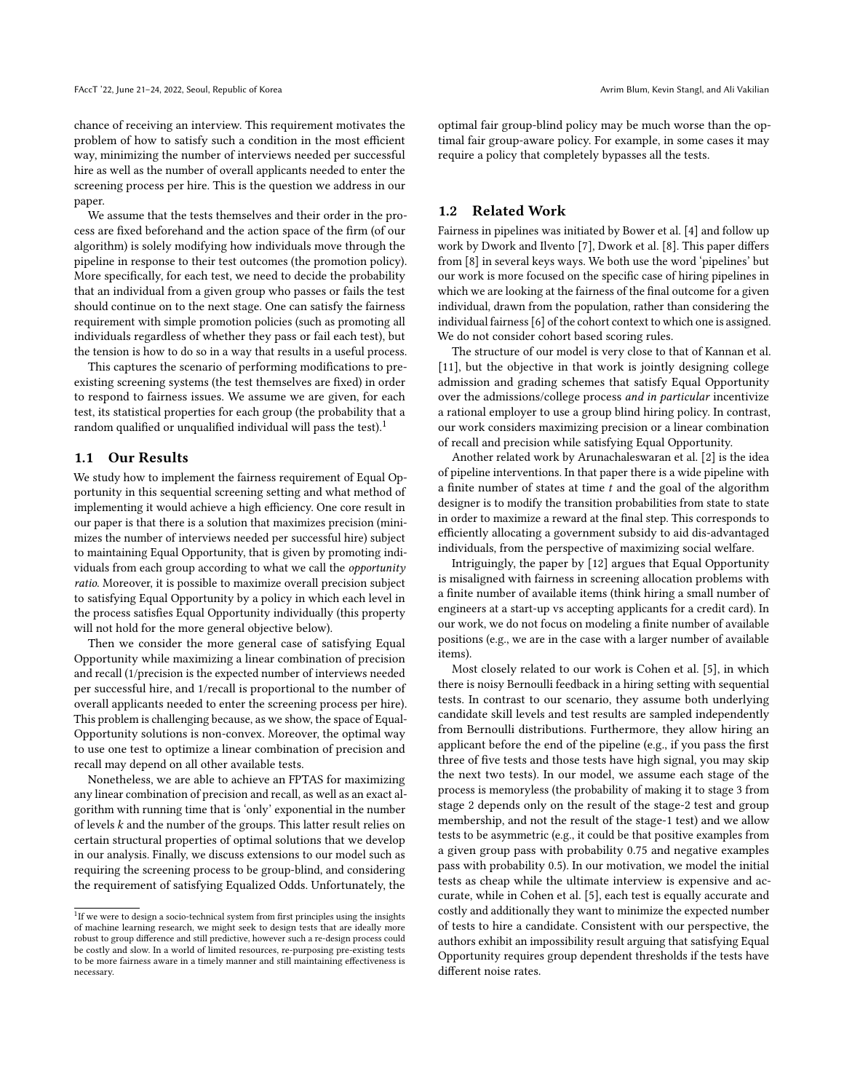chance of receiving an interview. This requirement motivates the problem of how to satisfy such a condition in the most efficient way, minimizing the number of interviews needed per successful hire as well as the number of overall applicants needed to enter the screening process per hire. This is the question we address in our paper.

We assume that the tests themselves and their order in the process are fixed beforehand and the action space of the firm (of our algorithm) is solely modifying how individuals move through the pipeline in response to their test outcomes (the promotion policy). More specifically, for each test, we need to decide the probability that an individual from a given group who passes or fails the test should continue on to the next stage. One can satisfy the fairness requirement with simple promotion policies (such as promoting all individuals regardless of whether they pass or fail each test), but the tension is how to do so in a way that results in a useful process.

This captures the scenario of performing modifications to preexisting screening systems (the test themselves are fixed) in order to respond to fairness issues. We assume we are given, for each test, its statistical properties for each group (the probability that a random qualified or unqualified individual will pass the test).<sup>[1](#page-1-0)</sup>

#### 1.1 Our Results

We study how to implement the fairness requirement of Equal Opportunity in this sequential screening setting and what method of implementing it would achieve a high efficiency. One core result in our paper is that there is a solution that maximizes precision (minimizes the number of interviews needed per successful hire) subject to maintaining Equal Opportunity, that is given by promoting individuals from each group according to what we call the opportunity ratio. Moreover, it is possible to maximize overall precision subject to satisfying Equal Opportunity by a policy in which each level in the process satisfies Equal Opportunity individually (this property will not hold for the more general objective below).

Then we consider the more general case of satisfying Equal Opportunity while maximizing a linear combination of precision and recall (1/precision is the expected number of interviews needed per successful hire, and 1/recall is proportional to the number of overall applicants needed to enter the screening process per hire). This problem is challenging because, as we show, the space of Equal-Opportunity solutions is non-convex. Moreover, the optimal way to use one test to optimize a linear combination of precision and recall may depend on all other available tests.

Nonetheless, we are able to achieve an FPTAS for maximizing any linear combination of precision and recall, as well as an exact algorithm with running time that is 'only' exponential in the number of levels  $k$  and the number of the groups. This latter result relies on certain structural properties of optimal solutions that we develop in our analysis. Finally, we discuss extensions to our model such as requiring the screening process to be group-blind, and considering the requirement of satisfying Equalized Odds. Unfortunately, the

optimal fair group-blind policy may be much worse than the optimal fair group-aware policy. For example, in some cases it may require a policy that completely bypasses all the tests.

### 1.2 Related Work

Fairness in pipelines was initiated by Bower et al. [\[4\]](#page-9-2) and follow up work by Dwork and Ilvento [\[7\]](#page-9-3), Dwork et al. [\[8\]](#page-9-4). This paper differs from [\[8\]](#page-9-4) in several keys ways. We both use the word 'pipelines' but our work is more focused on the specific case of hiring pipelines in which we are looking at the fairness of the final outcome for a given individual, drawn from the population, rather than considering the individual fairness [\[6\]](#page-9-5) of the cohort context to which one is assigned. We do not consider cohort based scoring rules.

The structure of our model is very close to that of Kannan et al. [\[11\]](#page-9-6), but the objective in that work is jointly designing college admission and grading schemes that satisfy Equal Opportunity over the admissions/college process and in particular incentivize a rational employer to use a group blind hiring policy. In contrast, our work considers maximizing precision or a linear combination of recall and precision while satisfying Equal Opportunity.

Another related work by Arunachaleswaran et al. [\[2\]](#page-9-7) is the idea of pipeline interventions. In that paper there is a wide pipeline with a finite number of states at time  $t$  and the goal of the algorithm designer is to modify the transition probabilities from state to state in order to maximize a reward at the final step. This corresponds to efficiently allocating a government subsidy to aid dis-advantaged individuals, from the perspective of maximizing social welfare.

Intriguingly, the paper by [\[12\]](#page-9-8) argues that Equal Opportunity is misaligned with fairness in screening allocation problems with a finite number of available items (think hiring a small number of engineers at a start-up vs accepting applicants for a credit card). In our work, we do not focus on modeling a finite number of available positions (e.g., we are in the case with a larger number of available items).

Most closely related to our work is Cohen et al. [\[5\]](#page-9-9), in which there is noisy Bernoulli feedback in a hiring setting with sequential tests. In contrast to our scenario, they assume both underlying candidate skill levels and test results are sampled independently from Bernoulli distributions. Furthermore, they allow hiring an applicant before the end of the pipeline (e.g., if you pass the first three of five tests and those tests have high signal, you may skip the next two tests). In our model, we assume each stage of the process is memoryless (the probability of making it to stage 3 from stage 2 depends only on the result of the stage-2 test and group membership, and not the result of the stage-1 test) and we allow tests to be asymmetric (e.g., it could be that positive examples from a given group pass with probability 0.75 and negative examples pass with probability 0.5). In our motivation, we model the initial tests as cheap while the ultimate interview is expensive and accurate, while in Cohen et al. [\[5\]](#page-9-9), each test is equally accurate and costly and additionally they want to minimize the expected number of tests to hire a candidate. Consistent with our perspective, the authors exhibit an impossibility result arguing that satisfying Equal Opportunity requires group dependent thresholds if the tests have different noise rates.

<span id="page-1-0"></span> $1$ If we were to design a socio-technical system from first principles using the insights of machine learning research, we might seek to design tests that are ideally more robust to group difference and still predictive, however such a re-design process could be costly and slow. In a world of limited resources, re-purposing pre-existing tests to be more fairness aware in a timely manner and still maintaining effectiveness is necessary.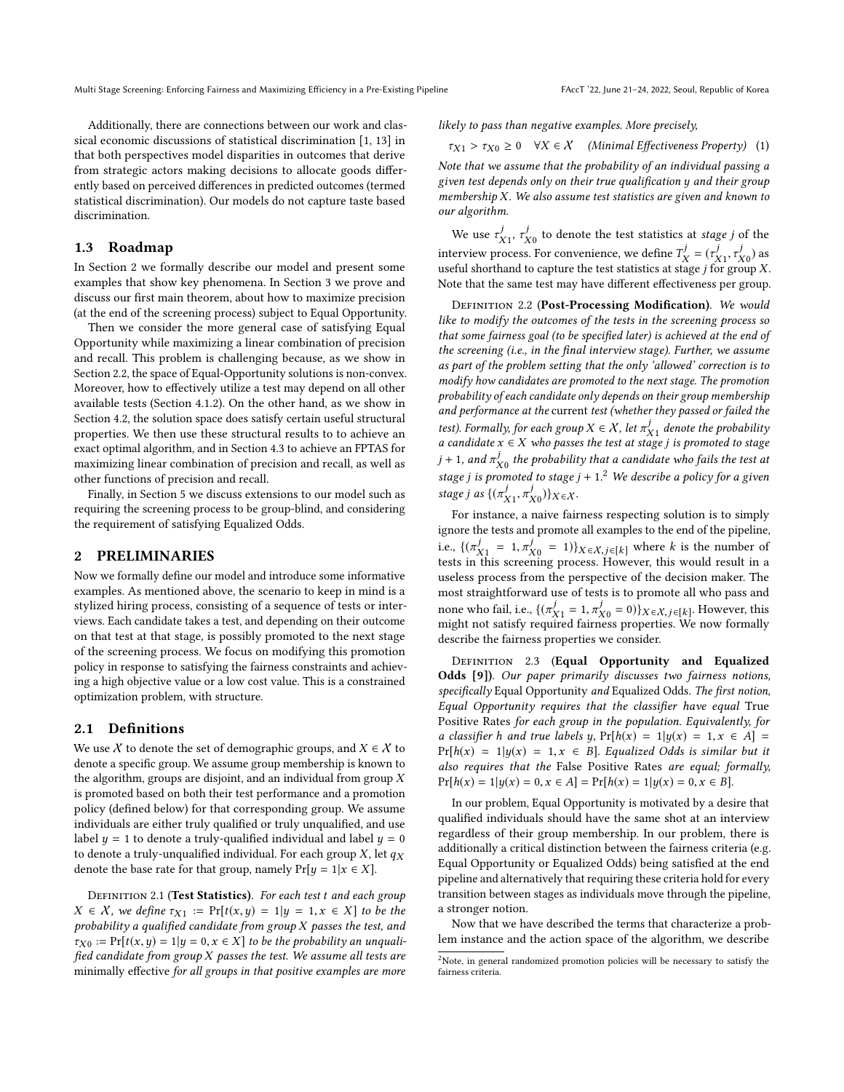Additionally, there are connections between our work and classical economic discussions of statistical discrimination [\[1,](#page-9-10) [13\]](#page-9-11) in that both perspectives model disparities in outcomes that derive from strategic actors making decisions to allocate goods differently based on perceived differences in predicted outcomes (termed statistical discrimination). Our models do not capture taste based discrimination.

### 1.3 Roadmap

In Section [2](#page-2-0) we formally describe our model and present some examples that show key phenomena. In Section [3](#page-3-0) we prove and discuss our first main theorem, about how to maximize precision (at the end of the screening process) subject to Equal Opportunity.

Then we consider the more general case of satisfying Equal Opportunity while maximizing a linear combination of precision and recall. This problem is challenging because, as we show in Section [2.2,](#page-3-1) the space of Equal-Opportunity solutions is non-convex. Moreover, how to effectively utilize a test may depend on all other available tests (Section [4.1.2\)](#page-5-0). On the other hand, as we show in Section [4.2,](#page-5-1) the solution space does satisfy certain useful structural properties. We then use these structural results to to achieve an exact optimal algorithm, and in Section [4.3](#page-7-0) to achieve an FPTAS for maximizing linear combination of precision and recall, as well as other functions of precision and recall.

Finally, in Section [5](#page-8-0) we discuss extensions to our model such as requiring the screening process to be group-blind, and considering the requirement of satisfying Equalized Odds.

#### <span id="page-2-0"></span>2 PRELIMINARIES

Now we formally define our model and introduce some informative examples. As mentioned above, the scenario to keep in mind is a stylized hiring process, consisting of a sequence of tests or interviews. Each candidate takes a test, and depending on their outcome on that test at that stage, is possibly promoted to the next stage of the screening process. We focus on modifying this promotion policy in response to satisfying the fairness constraints and achieving a high objective value or a low cost value. This is a constrained optimization problem, with structure.

# 2.1 Definitions

We use  $X$  to denote the set of demographic groups, and  $X \in \mathcal{X}$  to denote a specific group. We assume group membership is known to the algorithm, groups are disjoint, and an individual from group  $X$ is promoted based on both their test performance and a promotion policy (defined below) for that corresponding group. We assume individuals are either truly qualified or truly unqualified, and use label  $y = 1$  to denote a truly-qualified individual and label  $y = 0$ to denote a truly-unqualified individual. For each group  $X$ , let  $q_X$ denote the base rate for that group, namely  $Pr[y = 1 | x \in X]$ .

DEFINITION 2.1 (Test Statistics). For each test t and each group  $X \in \mathcal{X}$ , we define  $\tau_{X1} := \Pr[t(x, y) = 1 | y = 1, x \in X]$  to be the probability a qualified candidate from group X passes the test, and  $\tau_{X0} := \Pr[t(x, y) = 1 | y = 0, x \in X]$  to be the probability an unqualified candidate from group  $X$  passes the test. We assume all tests are minimally effective for all groups in that positive examples are more likely to pass than negative examples. More precisely,

<span id="page-2-2"></span> $\tau_{X1} > \tau_{X0} \ge 0 \quad \forall X \in \mathcal{X} \quad (Minimal \, Effectiveness \, Property) \quad (1)$ 

Note that we assume that the probability of an individual passing a given test depends only on their true qualification y and their group membership X. We also assume test statistics are given and known to our algorithm.

We use  $\tau_{X1}^j$ ,  $\tau_{X0}^j$  to denote the test statistics at *stage j* of the  $\tilde{X}$ 1<sup>,  $\tau$ </sup> $\tilde{X}$ 0<br>x22222. interview process. For convenience, we define  $T_X^j = (r_{X1}^j, r_{X0}^j)$  as<br>useful shorthand to capture the test statistics at stage *i* for group X X , τ useful shorthand to capture the test statistics at stage j for group X. Note that the same test may have different effectiveness per group.

DEFINITION 2.2 (Post-Processing Modification). We would like to modify the outcomes of the tests in the screening process so that some fairness goal (to be specified later) is achieved at the end of the screening (i.e., in the final interview stage). Further, we assume as part of the problem setting that the only 'allowed' correction is to modify how candidates are promoted to the next stage. The promotion probability of each candidate only depends on their group membership and performance at the current test (whether they passed or failed the test). Formally, for each group  $X \in \mathcal{X}$ , let  $\pi_{X_1}^f$  denote the probability<br>a candidate  $x \in X$  who passes the test at stage i is promoted to stage *iest).* Formally, for each group  $X \in \mathcal{X}$ , let  $\pi_{X_1}^*$  aenote the probability<br>a candidate  $x \in X$  who passes the test at stage j is promoted to stage<br>i. 1. and  $\sigma$ , the probability that a candidate who fails the t  $j + 1$ , and  $\pi_{X(1)}^j$  the probability that a candidate who fails the test at  $J + 1$ , and  $\pi_{X0}$  the probability that a candidate who fails the test at<br>stage j is promoted to stage  $j + 1$ .<sup>[2](#page-2-1)</sup> We describe a policy for a given stage j as  $\{(\pi_{X1}^J, \pi_{X0}^J)\}_{X \in \mathcal{X}}$ .

 $\sum_{i=1}^{\infty}$   $\sum_{i=1}^{\infty}$   $\sum_{i=1}^{\infty}$   $\sum_{i=1}^{\infty}$   $\sum_{i=1}^{\infty}$   $\sum_{i=1}^{\infty}$   $\sum_{i=1}^{\infty}$   $\sum_{i=1}^{\infty}$   $\sum_{i=1}^{\infty}$   $\sum_{i=1}^{\infty}$   $\sum_{i=1}^{\infty}$   $\sum_{i=1}^{\infty}$   $\sum_{i=1}^{\infty}$   $\sum_{i=1}^{\infty}$   $\sum_{i=1}^{\in$ ignore the tests and promote all examples to the end of the pipeline, i.e.,  $\{(\pi_{X1}^j = 1, \pi_{X0}^j = 1)\}_{X \in \mathcal{X}, j \in [k]}$  where k is the number of tests in this screening process. However, this would result in a useless process from the perspective of the decision maker. The most straightforward use of tests is to promote all who pass and none who fail, i.e.,  $\{(\pi_{X1}^j = 1, \pi_{X0}^j = 0)\}_{X \in \mathcal{X}, j \in [k]}.$  However, this might not satisfy required fairness properties. We now formally might not satisfy required fairness properties. We now formally describe the fairness properties we consider.

DEFINITION 2.3 (Equal Opportunity and Equalized Odds [\[9\]](#page-9-1)). Our paper primarily discusses two fairness notions, specifically Equal Opportunity and Equalized Odds. The first notion, Equal Opportunity requires that the classifier have equal True Positive Rates for each group in the population. Equivalently, for a classifier h and true labels y,  $Pr[h(x) = 1|y(x) = 1, x \in A] =$  $Pr[h(x) = 1|y(x) = 1, x \in B]$ . Equalized Odds is similar but it also requires that the False Positive Rates are equal; formally,  $Pr[h(x) = 1|y(x) = 0, x \in A] = Pr[h(x) = 1|y(x) = 0, x \in B].$ 

In our problem, Equal Opportunity is motivated by a desire that qualified individuals should have the same shot at an interview regardless of their group membership. In our problem, there is additionally a critical distinction between the fairness criteria (e.g. Equal Opportunity or Equalized Odds) being satisfied at the end pipeline and alternatively that requiring these criteria hold for every transition between stages as individuals move through the pipeline, a stronger notion.

Now that we have described the terms that characterize a problem instance and the action space of the algorithm, we describe

<span id="page-2-1"></span><sup>2</sup>Note, in general randomized promotion policies will be necessary to satisfy the fairness criteria.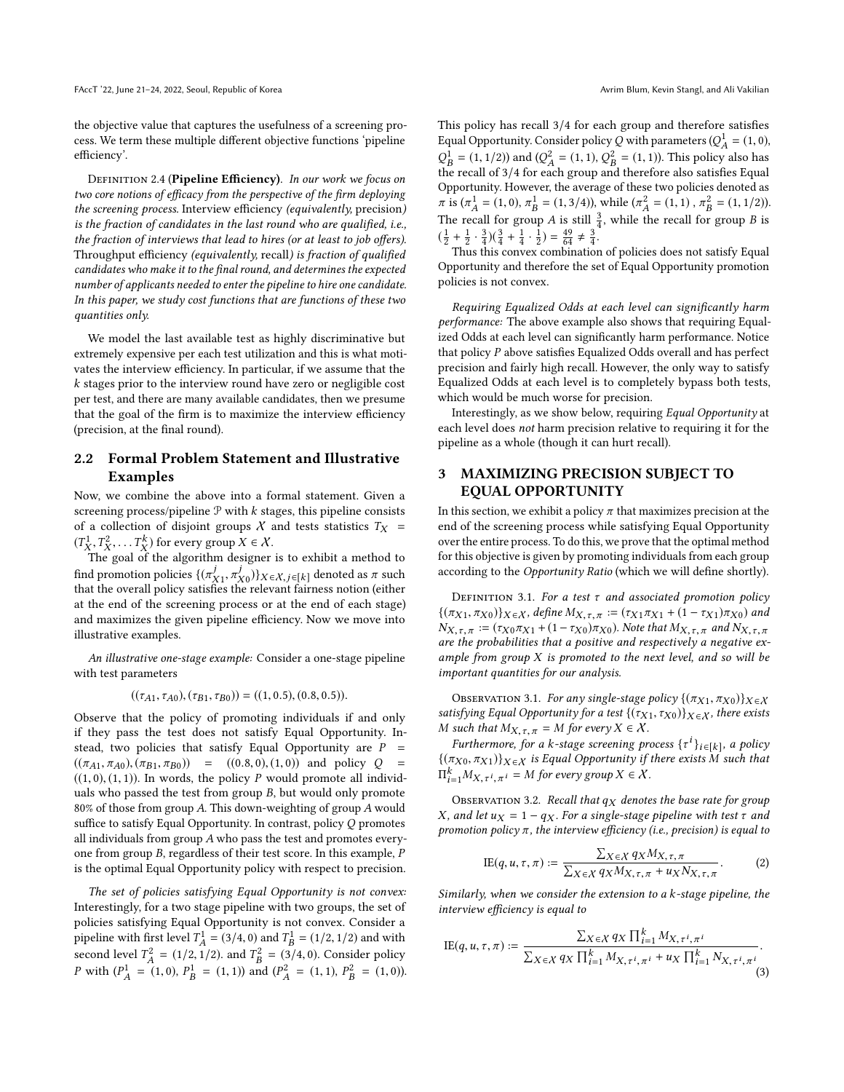the objective value that captures the usefulness of a screening process. We term these multiple different objective functions 'pipeline efficiency'.

<span id="page-3-3"></span>DEFINITION 2.4 (Pipeline Efficiency). In our work we focus on two core notions of efficacy from the perspective of the firm deploying the screening process. Interview efficiency (equivalently, precision) is the fraction of candidates in the last round who are qualified, i.e., the fraction of interviews that lead to hires (or at least to job offers). Throughput efficiency (equivalently, recall) is fraction of qualified candidates who make it to the final round, and determines the expected number of applicants needed to enter the pipeline to hire one candidate. In this paper, we study cost functions that are functions of these two quantities only.

We model the last available test as highly discriminative but extremely expensive per each test utilization and this is what motivates the interview efficiency. In particular, if we assume that the k stages prior to the interview round have zero or negligible cost per test, and there are many available candidates, then we presume that the goal of the firm is to maximize the interview efficiency (precision, at the final round).

## <span id="page-3-1"></span>2.2 Formal Problem Statement and Illustrative Examples

Now, we combine the above into a formal statement. Given a screening process/pipeline  $P$  with  $k$  stages, this pipeline consists of a collection of disjoint groups X and tests statistics  $T_X$  =  $(T_X^1, T_X^2, \dots, T_X^k)$  for every group  $X \in \mathcal{X}$ .<br>The goal of the algorithm designer

 $X'$ ,  $X'$ ,  $X'$ ,  $X'$  and  $X'$  be algorithm designer is to exhibit a method to find promotion policies  $\{(\pi_X^j, \pi_X^j)\}_{X \in \mathcal{X}, j \in [k]}$  denoted as  $\pi$  such that the overall policy satisfies the relevant fairness notion (either nna promotion policies {( $\pi_{X_1}, \pi_{X_0}$ )} $X \in \mathcal{X}, j \in [k]$  denoted as π such<br>that the overall policy satisfies the relevant fairness notion (either at the end of the screening process or at the end of each stage) and maximizes the given pipeline efficiency. Now we move into illustrative examples.

An illustrative one-stage example: Consider a one-stage pipeline with test parameters

 $((\tau_{A1}, \tau_{A0}), (\tau_{B1}, \tau_{B0})) = ((1, 0.5), (0.8, 0.5)).$ 

Observe that the policy of promoting individuals if and only if they pass the test does not satisfy Equal Opportunity. Instead, two policies that satisfy Equal Opportunity are  $P =$  $((\pi_{A1}, \pi_{A0}), (\pi_{B1}, \pi_{B0})) = ((0.8, 0), (1, 0))$  and policy Q  $((1, 0), (1, 1))$ . In words, the policy P would promote all individuals who passed the test from group B, but would only promote 80% of those from group A. This down-weighting of group A would suffice to satisfy Equal Opportunity. In contrast, policy Q promotes all individuals from group A who pass the test and promotes everyone from group B, regardless of their test score. In this example, P is the optimal Equal Opportunity policy with respect to precision.

The set of policies satisfying Equal Opportunity is not convex: Interestingly, for a two stage pipeline with two groups, the set of policies satisfying Equal Opportunity is not convex. Consider a pipeline with first level  $T_1^1 = (3/4, 0)$  and  $T_2^1 = (1/2, 1/2)$  and with second level  $T_A^2 = (1/2, 1/2)$ , and  $T_B^2 = (3/2, 1/2)$  $T_A^2 = (1/2, 1/2)$ . and  $T_B^2$ <br>(1,0)  $P^1 = (1, 1)$  and  $B_B^2 = (3/4, 0)$ . Consider policy<br>nd  $(P^2 = (1, 1) P^2 = (1, 0))$ P with  $(P_A^1)$  $P_A^1 = (1, 0), P_B^1$  $\mathop{B}\limits^1 = (1,1)$  and  $(P_A^2)$  $P_A^2 = (1, 1), P_B^2$  $B^2 = (1, 0)$ . This policy has recall 3/4 for each group and therefore satisfies Equal Opportunity. Consider policy Q with parameters  $(Q_1^1 = (1, 0),$  $\overline{r}$  $\tilde{t}$  $\overline{1}$  $\mathbf{B}_{B} = (1, 1/2)$  and  $(Q_{A}^{2})$ <br>le recall of 3/4 for ea  $\mu_A^2 = (1, 1), Q_B^2$ <br>ach group and  $Q_B^1 = (1, 1/2)$  and  $(Q_A^2 = (1, 1), Q_B^2 = (1, 1)$ ). This policy also has the recall of 3/4 for each group and therefore also satisfies Equal Opportunity. However, the average of these two policies denoted as  $π$  is  $(π<sub>A</sub><sup>1</sup> = (1, 0), π<sub>B</sub><sup>1</sup> = (1, 3/4))$ , while  $(π<sub>A</sub><sup>2</sup> = (1, 1), π<sub>B</sub><sup>2</sup> = (1, 1/2))$ .<br>The map l for map  $π<sub>A</sub>$  is till  $3$  mbile the map l for map n is The recall for group A is still  $\frac{3}{4}$ , while the recall for group B is  $\left(\frac{1}{2} + \frac{1}{2} \cdot \frac{3}{4}\right)\left(\frac{3}{4} + \frac{1}{4} \cdot \frac{1}{2}\right) = \frac{49}{64} \neq \frac{3}{4}$ .

Thus this convex combination of policies does not satisfy Equal Opportunity and therefore the set of Equal Opportunity promotion policies is not convex.

Requiring Equalized Odds at each level can significantly harm performance: The above example also shows that requiring Equalized Odds at each level can significantly harm performance. Notice that policy P above satisfies Equalized Odds overall and has perfect precision and fairly high recall. However, the only way to satisfy Equalized Odds at each level is to completely bypass both tests, which would be much worse for precision.

Interestingly, as we show below, requiring Equal Opportunity at each level does not harm precision relative to requiring it for the pipeline as a whole (though it can hurt recall).

# <span id="page-3-0"></span>3 MAXIMIZING PRECISION SUBJECT TO EQUAL OPPORTUNITY

In this section, we exhibit a policy  $\pi$  that maximizes precision at the end of the screening process while satisfying Equal Opportunity over the entire process. To do this, we prove that the optimal method for this objective is given by promoting individuals from each group according to the Opportunity Ratio (which we will define shortly).

DEFINITION 3.1. For a test  $\tau$  and associated promotion policy  ${(\pi_{X1}, \pi_{X0})}{X \in X}$ , define  $M_{X, \tau, \pi} := (\tau_{X1} \pi_{X1} + (1 - \tau_{X1}) \pi_{X0})$  and  $N_{X, \tau, \pi} := (\tau_{X0} \pi_{X1} + (1 - \tau_{X0}) \pi_{X0})$ . Note that  $M_{X, \tau, \pi}$  and  $N_{X, \tau, \pi}$ are the probabilities that a positive and respectively a negative example from group  $X$  is promoted to the next level, and so will be important quantities for our analysis.

<span id="page-3-4"></span>OBSERVATION 3.1. For any single-stage policy  $\{(\pi_{X1}, \pi_{X0})\}_{X \in \mathcal{X}}$ satisfying Equal Opportunity for a test  $\{(\tau_{X1}, \tau_{X0})\}_{X \in \mathcal{X}}$ , there exists M such that  $M_{X, \tau, \pi} = M$  for every  $X \in \mathcal{X}$ .

Furthermore, for a k-stage screening process  $\{\tau^i\}_{i\in[k]}$ , a policy<br>Executively as is Equal Opportunity if there exists M such that  ${(\pi_{X0}, \pi_{X1})}_{X \in X}$  is Equal Opportunity if there exists M such that  $\Pi_{i=1}^k M_{X,\tau^i,\pi^i} = M$  for every group  $X \in \mathcal{X}$ . ,π

<span id="page-3-5"></span>OBSERVATION 3.2. Recall that  $q_X$  denotes the base rate for group X, and let  $u_X = 1 - q_X$ . For a single-stage pipeline with test  $\tau$  and promotion policy  $\pi$ , the interview efficiency (i.e., precision) is equal to

<span id="page-3-2"></span>
$$
\text{IE}(q, u, \tau, \pi) := \frac{\sum_{X \in \mathcal{X}} q_X M_{X, \tau, \pi}}{\sum_{X \in \mathcal{X}} q_X M_{X, \tau, \pi} + u_X N_{X, \tau, \pi}}.
$$
 (2)

Similarly, when we consider the extension to a k-stage pipeline, the interview efficiency is equal to

$$
\text{IE}(q, u, \tau, \pi) := \frac{\sum_{X \in \mathcal{X}} q_X \prod_{i=1}^k M_{X, \tau^i, \pi^i}}{\sum_{X \in \mathcal{X}} q_X \prod_{i=1}^k M_{X, \tau^i, \pi^i} + u_X \prod_{i=1}^k N_{X, \tau^i, \pi^i}}.
$$
(3)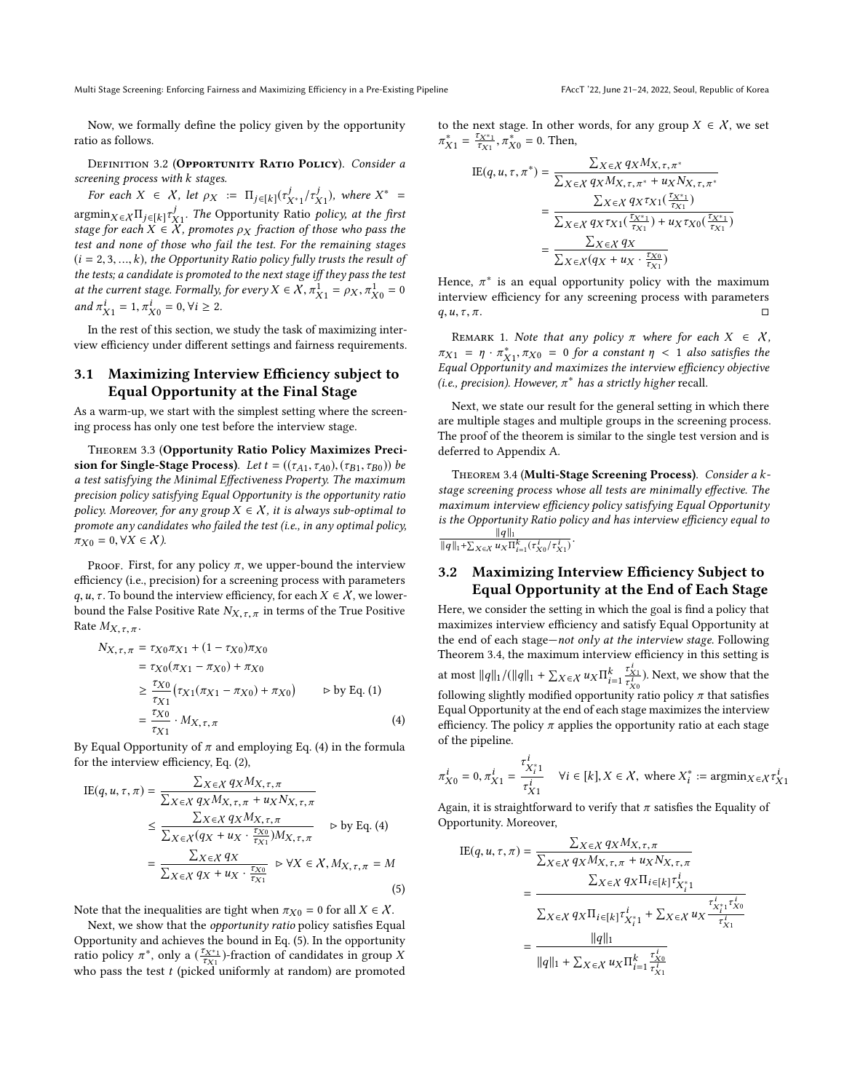Multi Stage Screening: Enforcing Fairness and Maximizing Efficiency in a Pre-Existing Pipeline FACCT '22, June 21-24, 2022, Seoul, Republic of Korea

Now, we formally define the policy given by the opportunity ratio as follows.

<span id="page-4-3"></span>DEFINITION 3.2 (OPPORTUNITY RATIO POLICY). Consider a screening process with k stages.

For each  $X \in X$ , let  $\rho_X := \Pi_j \in [k] (\tau^j_{X^*1}/\tau^j_X)$ , where  $X^* =$ <br>smin  $\ldots$   $\Pi$  and  $j$ . The Opportunity Botio, policy at the first  $\operatorname{argmin}_{X \in X} K \lim_{j \in [k]} \tau_{X}^j$ . The Opportunity Ratio policy, at the first stage for each  $X \in X$ , promotes oxy fraction of those who pass the  $\argmin_{X \in X} \sum_{i \in [k]} \tau_{X_i}$ . The Opportunity Katio policy, at the first<br>stage for each  $X \in X$ , promotes  $\rho_X$  fraction of those who pass the<br>test and none of those who fail the test. For the remaining stages test and none of those who fail the test. For the remaining stages  $(i = 2, 3, ..., k)$ , the Opportunity Ratio policy fully trusts the result of the tests; a candidate is promoted to the next stage iff they pass the test at the current stage. Formally, for every  $X \in \mathcal{X}$ ,  $\pi_{X1}^1 = \rho_X$ ,  $\pi_{X0}^1 = 0$ <br>and  $\pi^i = 1$ ,  $\pi^i = 0$ ,  $\forall i > 2$ and  $\pi_{X1}^i = 1, \pi_{X0}^i = 0, \forall i \ge 2.$ 

In the rest of this section, we study the task of maximizing interview efficiency under different settings and fairness requirements.

# 3.1 Maximizing Interview Efficiency subject to Equal Opportunity at the Final Stage

As a warm-up, we start with the simplest setting where the screening process has only one test before the interview stage.

Theorem 3.3 (Opportunity Ratio Policy Maximizes Precision for Single-Stage Process). Let  $t = ((\tau_{A1}, \tau_{A0}), (\tau_{B1}, \tau_{B0}))$  be a test satisfying the Minimal Effectiveness Property. The maximum precision policy satisfying Equal Opportunity is the opportunity ratio policy. Moreover, for any group  $X \in \mathcal{X}$ , it is always sub-optimal to promote any candidates who failed the test (i.e., in any optimal policy,  $\pi_{X0} = 0, \forall X \in \mathcal{X}$ ).

PROOF. First, for any policy  $\pi$ , we upper-bound the interview efficiency (i.e., precision) for a screening process with parameters q, u,  $\tau$ . To bound the interview efficiency, for each  $X \in \mathcal{X}$ , we lowerbound the False Positive Rate  $N_{X,\tau,\pi}$  in terms of the True Positive Rate  $M_{X,\tau,\pi}$ .

$$
N_{X,\tau,\pi} = \tau_{X0}\pi_{X1} + (1 - \tau_{X0})\pi_{X0}
$$
  
=  $\tau_{X0}(\pi_{X1} - \pi_{X0}) + \pi_{X0}$   
 $\ge \frac{\tau_{X0}}{\tau_{X1}} (\tau_{X1}(\pi_{X1} - \pi_{X0}) + \pi_{X0}) \qquad \Rightarrow \text{by Eq. (1)}$   
=  $\frac{\tau_{X0}}{\tau_{X1}} \cdot M_{X,\tau,\pi}$  (4)

By Equal Opportunity of  $\pi$  and employing Eq. [\(4\)](#page-4-0) in the formula for the interview efficiency. Eq. (2) for the interview efficiency, Eq. [\(2\)](#page-3-2),

$$
\text{IE}(q, u, \tau, \pi) = \frac{\sum_{X \in \mathcal{X}} q_X M_{X, \tau, \pi}}{\sum_{X \in \mathcal{X}} q_X M_{X, \tau, \pi} + u_X N_{X, \tau, \pi}}
$$
\n
$$
\leq \frac{\sum_{X \in \mathcal{X}} q_X M_{X, \tau, \pi}}{\sum_{X \in \mathcal{X}} (q_X + u_X \cdot \frac{\tau_{X0}}{\tau_{X1}}) M_{X, \tau, \pi}} \quad \text{b by Eq. (4)}
$$
\n
$$
= \frac{\sum_{X \in \mathcal{X}} q_X}{\sum_{X \in \mathcal{X}} q_X + u_X \cdot \frac{\tau_{X0}}{\tau_{X1}}} \quad \text{b } \forall X \in \mathcal{X}, M_{X, \tau, \pi} = M
$$
\n(5)

Note that the inequalities are tight when  $\pi_{X0} = 0$  for all  $X \in \mathcal{X}$ .

Next, we show that the opportunity ratio policy satisfies Equal Opportunity and achieves the bound in Eq. [\(5\)](#page-4-1). In the opportunity ratio policy  $\pi^*$ , only a  $(\frac{7X^*1}{7X1})$ -fraction of candidates in group X who pass the test t (picked uniformly at random) are promoted to the next stage. In other words, for any group  $X \in \mathcal{X}$ , we set  $X_1 = \frac{\tau_{X^*1}}{\tau_{X1}}, \pi$  $_{X_0}^* = 0$ . Then,

$$
\begin{split} \text{IE}(q, u, \tau, \pi^*) &= \frac{\sum_{X \in \mathcal{X}} q_X M_{X, \tau, \pi^*}}{\sum_{X \in \mathcal{X}} q_X M_{X, \tau, \pi^*} + u_X N_{X, \tau, \pi^*}} \\ &= \frac{\sum_{X \in \mathcal{X}} q_X \tau_{X1}(\frac{\tau_{X^*1}}{\tau_{X1}})}{\sum_{X \in \mathcal{X}} q_X \tau_{X1}(\frac{\tau_{X^*1}}{\tau_{X1}}) + u_X \tau_{X0}(\frac{\tau_{X^*1}}{\tau_{X1}})} \\ &= \frac{\sum_{X \in \mathcal{X}} q_X}{\sum_{X \in \mathcal{X}} (q_X + u_X \cdot \frac{\tau_{X0}}{\tau_{X1}})} \end{split}
$$

Hence,  $\pi^*$  is an equal opportunity policy with the maximum<br>interview efficiency for any screening process with parameters interview efficiency for any screening process with parameters  $q, u, \tau, \pi.$ 

REMARK 1. Note that any policy  $\pi$  where for each  $X \in \mathcal{X}$ ,  $\pi_{X_1} = \eta \cdot \pi_{X_1}^*, \pi_{X_0} = 0$  for a constant  $\eta < 1$  also satisfies the Equal Opportunity and maximizes the interview efficiency objective  $\pi_{X_1} = \eta \cdot \pi_{X_1}, \pi_{X_0} = 0$  for a constant  $\eta < 1$  also satisfies the Equal Opportunity and maximizes the interview efficiency objective (i.e., precision). However,  $\pi^*$  has a strictly higher recall.

Next, we state our result for the general setting in which there are multiple stages and multiple groups in the screening process. The proof of the theorem is similar to the single test version and is deferred to Appendix [A.](#page-9-12)

<span id="page-4-2"></span>Theorem 3.4 (Multi-Stage Screening Process). Consider a kstage screening process whose all tests are minimally effective. The maximum interview efficiency policy satisfying Equal Opportunity is the Opportunity Ratio policy and has interview efficiency equal to <sup>∥</sup><sup>q</sup> <sup>∥</sup><sup>1</sup>  $\frac{\|q\|_1}{\|q\|_1 + \sum_{X \in \mathcal{X}} u_X \prod_{i=1}^k (\tau_{X0}^i / \tau_{X1}^i)}$ .

## 3.2 Maximizing Interview Efficiency Subject to Equal Opportunity at the End of Each Stage

Here, we consider the setting in which the goal is find a policy that maximizes interview efficiency and satisfy Equal Opportunity at the end of each stage—not only at the interview stage. Following Theorem [3.4,](#page-4-2) the maximum interview efficiency in this setting is at most  $||q||_1 / (||q||_1 + \sum_{X \in \mathcal{X}} u_X \Pi_{i=1}^k \frac{\tau_{Xi}}{\tau_{X0}^i}$  $\tau_{X0}$ <sub>tv</sub> ). Next, we show that the following slightly modified opportunity ratio policy  $\pi$  that satisfies Equal Opportunity at the end of each stage maximizes the interview efficiency. The policy  $\pi$  applies the opportunity ratio at each stage of the pipeline.

<span id="page-4-0"></span>
$$
\pi_{X0}^i = 0, \pi_{X1}^i = \frac{\tau_{X_i^*1}^i}{\tau_{X1}^i} \quad \forall i \in [k], X \in \mathcal{X}, \text{ where } X_i^* := \operatorname{argmin}_{X \in \mathcal{X}} \tau_{X1}^i
$$

Again, it is straightforward to verify that  $\pi$  satisfies the Equality of Opportunity Moreover Opportunity. Moreover,

<span id="page-4-1"></span>
$$
\text{IE}(q, u, \tau, \pi) = \frac{\sum_{X \in \mathcal{X}} q_X M_{X, \tau, \pi}}{\sum_{X \in \mathcal{X}} q_X M_{X, \tau, \pi} + u_X N_{X, \tau, \pi}}
$$
\n
$$
= \frac{\sum_{X \in \mathcal{X}} q_X \prod_{i \in [k]} \tau_{X_i^*}^i}{\sum_{X \in \mathcal{X}} q_X \prod_{i \in [k]} \tau_{X_i^*}^i + \sum_{X \in \mathcal{X}} u_X \frac{\tau_{X_i^*}^i \tau_{X_0}^i}{\tau_{X_1}^i}}
$$
\n
$$
= \frac{\|q\|_1}{\|q\|_1 + \sum_{X \in \mathcal{X}} u_X \prod_{i=1}^k \frac{\tau_{X_0}^i}{\tau_{X_1}^i}}
$$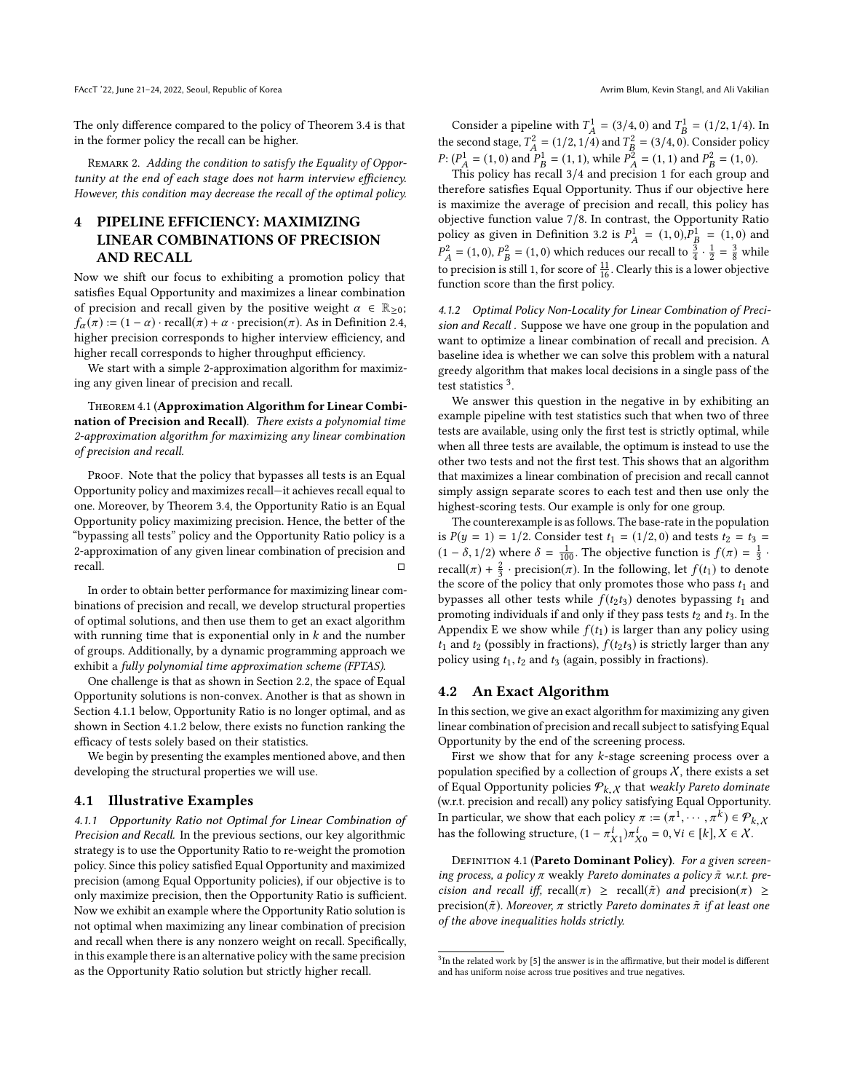The only difference compared to the policy of Theorem [3.4](#page-4-2) is that in the former policy the recall can be higher.

REMARK 2. Adding the condition to satisfy the Equality of Opportunity at the end of each stage does not harm interview efficiency. However, this condition may decrease the recall of the optimal policy.

# <span id="page-5-4"></span>4 PIPELINE EFFICIENCY: MAXIMIZING LINEAR COMBINATIONS OF PRECISION AND RECALL

Now we shift our focus to exhibiting a promotion policy that satisfies Equal Opportunity and maximizes a linear combination of precision and recall given by the positive weight  $\alpha \in \mathbb{R}_{\geq 0}$ ;  $f_{\alpha}(\pi) := (1 - \alpha) \cdot \text{recall}(\pi) + \alpha \cdot \text{precision}(\pi)$ . As in Definition [2.4,](#page-3-3) higher precision corresponds to higher interview efficiency, and higher recall corresponds to higher throughput efficiency.

We start with a simple 2-approximation algorithm for maximizing any given linear of precision and recall.

Theorem 4.1 (Approximation Algorithm for Linear Combination of Precision and Recall). There exists a polynomial time 2-approximation algorithm for maximizing any linear combination of precision and recall.

PROOF. Note that the policy that bypasses all tests is an Equal Opportunity policy and maximizes recall—it achieves recall equal to one. Moreover, by Theorem [3.4,](#page-4-2) the Opportunity Ratio is an Equal Opportunity policy maximizing precision. Hence, the better of the "bypassing all tests" policy and the Opportunity Ratio policy is a 2-approximation of any given linear combination of precision and recall. □

In order to obtain better performance for maximizing linear combinations of precision and recall, we develop structural properties of optimal solutions, and then use them to get an exact algorithm with running time that is exponential only in  $k$  and the number of groups. Additionally, by a dynamic programming approach we exhibit a fully polynomial time approximation scheme (FPTAS).

One challenge is that as shown in Section [2.2,](#page-3-1) the space of Equal Opportunity solutions is non-convex. Another is that as shown in Section [4.1.1](#page-5-2) below, Opportunity Ratio is no longer optimal, and as shown in Section [4.1.2](#page-5-0) below, there exists no function ranking the efficacy of tests solely based on their statistics.

We begin by presenting the examples mentioned above, and then developing the structural properties we will use.

#### 4.1 Illustrative Examples

<span id="page-5-2"></span>4.1.1 Opportunity Ratio not Optimal for Linear Combination of Precision and Recall. In the previous sections, our key algorithmic strategy is to use the Opportunity Ratio to re-weight the promotion policy. Since this policy satisfied Equal Opportunity and maximized precision (among Equal Opportunity policies), if our objective is to only maximize precision, then the Opportunity Ratio is sufficient. Now we exhibit an example where the Opportunity Ratio solution is not optimal when maximizing any linear combination of precision and recall when there is any nonzero weight on recall. Specifically, in this example there is an alternative policy with the same precision as the Opportunity Ratio solution but strictly higher recall.

Consider a pipeline with  $T_A^1 = (3/4, 0)$  and  $T_B^1 = (1/2, 1/4)$ . In the second stage,  $T_A^2 = (1/2, 1/4)$  and  $T_B^2 = (3/4, 0)$ <br> $R_B(T_A^1 - (1, 0))$  and  $R_B^1 - (1, 1)$  and  $R_B^2 = (1, 1)$  $T_A^2 = (1/2, 1/4)$  and  $T_B^2$ <br> $P^1 = (1, 1)$  while  $P^2$  $B_B^2 = (3/4, 0)$ . Consider policy<br> $B_B^2 = (1, 1)$  and  $P^2 = (1, 0)$ P:  $(P_A^1 = (1, 0)$  and  $P_B^1 = (1, 1)$ , while  $P_A^2 = (1, 1)$  and  $P_B^2 = (1, 0)$ .<br>This policy has recall 3/4 and precision 1 for each group at

This policy has recall  $3/4$  and precision 1 for each group and therefore satisfies Equal Opportunity. Thus if our objective here is maximize the average of precision and recall, this policy has objective function value 7/8. In contrast, the Opportunity Ratio policy as given in Definition [3.2](#page-4-3) is  $P_A^1$  $A = (1, 0), P<sub>B</sub><sup>1</sup>$ <br>
Sur recall to  $\frac{3}{2}$ olicy as given in Definition 3.2 is  $P_A^1 = (1, 0)P_B^1 = (1, 0)$  and<br>  $P_A^2 = (1, 0)$ ,  $P_B^2 = (1, 0)$  which reduces our recall to  $\frac{3}{4} \cdot \frac{1}{2} = \frac{3}{8}$  while<br>  $P_A^2 = (1, 0)P_B^2 = (1, 0)$  which reduces our recall to  $\frac{3}{4} \cdot \$ to precision is still 1, for score of  $\frac{11}{16}$ . Clearly this is a lower objective function score than the first policy.

<span id="page-5-0"></span>4.1.2 Optimal Policy Non-Locality for Linear Combination of Precision and Recall . Suppose we have one group in the population and want to optimize a linear combination of recall and precision. A baseline idea is whether we can solve this problem with a natural greedy algorithm that makes local decisions in a single pass of the  $\frac{1}{2}$  test statistics <sup>[3](#page-5-3)</sup>.

We answer this question in the negative in by exhibiting an example pipeline with test statistics such that when two of three tests are available, using only the first test is strictly optimal, while when all three tests are available, the optimum is instead to use the other two tests and not the first test. This shows that an algorithm that maximizes a linear combination of precision and recall cannot simply assign separate scores to each test and then use only the highest-scoring tests. Our example is only for one group.

The counterexample is as follows. The base-rate in the population is  $P(y = 1) = 1/2$ . Consider test  $t_1 = (1/2, 0)$  and tests  $t_2 = t_3 =$  $(1 - \delta, 1/2)$  where  $\delta = \frac{1}{100}$ . The objective function is  $f(\pi) = \frac{1}{3}$ . recall( $\pi$ ) +  $\frac{2}{3}$  · precision( $\pi$ ). In the following, let  $f(t_1)$  to denote the score of the policy that only promotes those who pass  $t_1$  and bypasses all other tests while  $f(t_2t_3)$  denotes bypassing  $t_1$  and promoting individuals if and only if they pass tests  $t_2$  and  $t_3$ . In the Appendix [E](#page-15-1) we show while  $f(t_1)$  is larger than any policy using  $t_1$  and  $t_2$  (possibly in fractions),  $f(t_2t_3)$  is strictly larger than any policy using  $t_1, t_2$  and  $t_3$  (again, possibly in fractions).

### <span id="page-5-1"></span>4.2 An Exact Algorithm

In this section, we give an exact algorithm for maximizing any given linear combination of precision and recall subject to satisfying Equal Opportunity by the end of the screening process.

First we show that for any  $k$ -stage screening process over a population specified by a collection of groups  $X$ , there exists a set of Equal Opportunity policies  $P_{k, \chi}$  that weakly Pareto dominate<br>(w.r.t. precision and recall) any policy satisfying Equal Opportunity (w.r.t. precision and recall) any policy satisfying Equal Opportunity. In particular, we show that each policy  $\pi := (\pi^1, \dots, \pi^k) \in \mathcal{P}_{k,X}$ <br>has the following structure  $(1, \pi^i) \pi^i = 0$  Vice  $[k]$   $Y \in Y$ has the following structure,  $(1 - \pi_{X_1}^i)\pi_{X_0}^i = 0, \forall i \in [k], X \in \mathcal{X}$ .

DEFINITION 4.1 (Pareto Dominant Policy). For a given screening process, a policy  $\pi$  weakly Pareto dominates a policy  $\tilde{\pi}$  w.r.t. precision and recall iff, recall( $\pi$ )  $\geq$  recall( $\tilde{\pi}$ ) and precision( $\pi$ )  $\geq$ precision( $\tilde{\pi}$ ). Moreover,  $\pi$  strictly Pareto dominates  $\tilde{\pi}$  if at least one of the above inequalities holds strictly.

<span id="page-5-3"></span> $3$ In the related work by [\[5\]](#page-9-9) the answer is in the affirmative, but their model is different and has uniform noise across true positives and true negatives.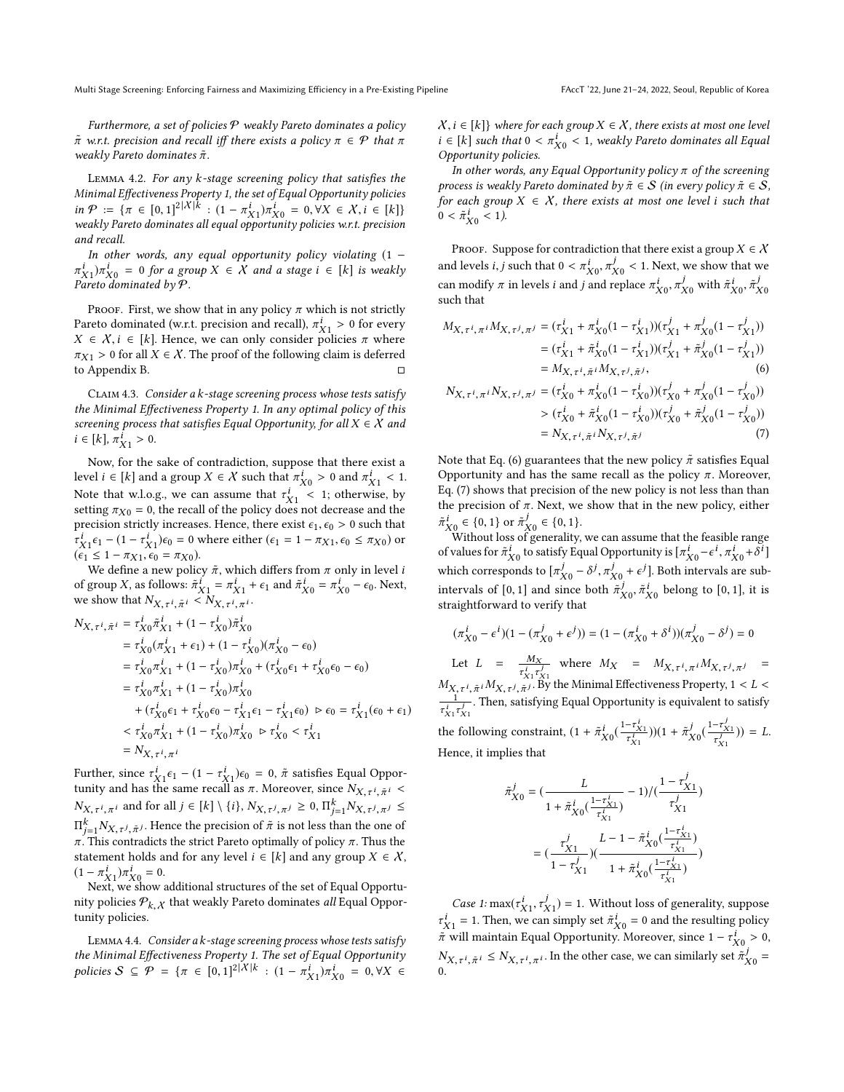Furthermore, a set of policies  $P$  weakly Pareto dominates a policy  $\tilde{\pi}$  w.r.t. precision and recall iff there exists a policy  $\pi \in \mathcal{P}$  that  $\pi$ weakly Pareto dominates  $\tilde{\pi}$ .

<span id="page-6-4"></span>Lemma 4.2. For any k-stage screening policy that satisfies the Minimal Effectiveness Property [1,](#page-2-2) the set of Equal Opportunity policies in  $\mathcal{P} := \{ \pi \in [0,1]^2 | X | k : (1 - \pi_{X_1}^i) \pi_{X_0}^i = 0, \forall X \in X, i \in [k] \}$  weakly Pareto dominates all equal opportunity policies w.r.t. precision and recall.

In other words, any equal opportunity policy violating (1 −  $\pi_{X_1}^*$   $\pi_{X_0}^*$  = 0 for a gram-<br>Pareto dominated by  $\mathcal{P}$ .  $i_{X1}$ ) $\pi^i_X$  = 0 for a group  $X \in \overline{X}$  and a stage  $i \in [k]$  is weakly

PROOF. First, we show that in any policy  $\pi$  which is not strictly Pareto dominated (w.r.t. precision and recall),  $\pi_{X_1}^i > 0$  for every  $X \in X$  i.  $\in [k]$ . Hence we can only consider policies  $\pi$  where Pareto aominated (w.r.t. precision and recall),  $\pi_{X1} > 0$  for every  $X \in X$ ,  $i \in [k]$ . Hence, we can only consider policies  $\pi$  where  $\pi_{X1} > 0$  for all  $X \in \mathcal{X}$ . The proof of the following claim is deferred to Appendix [B.](#page-10-0)

<span id="page-6-3"></span>CLAIM 4.3. Consider a k-stage screening process whose tests satisfy the Minimal Effectiveness Property [1.](#page-2-2) In any optimal policy of this screening process that satisfies Equal Opportunity, for all  $X \in \mathcal{X}$  and  $i \in [k], \pi_{X1}^{\bar{i}} > 0.$ 

Now, for the sake of contradiction, suppose that there exist a level  $i \in [k]$  and a group  $X \in \mathcal{X}$  such that  $\pi_{X0}^i > 0$  and  $\pi_{X1}^i < 1$ . Level  $t \in [k]$  and a group  $X \in \mathcal{X}$  such that  $\pi_{X0}^t > 0$  and  $\pi_{X1}^t < 1$ .<br>Note that w.l.o.g., we can assume that  $\tau_{X1}^i < 1$ ; otherwise, by setting  $\pi_{X0} = 0$ , the recall of the policy does not decrease and the Note that w.l.o.g., we can assume that  $\tau_{X1} < 1$ ; otherwise, by<br>setting  $\pi_{X0} = 0$ , the recall of the policy does not decrease and the<br>precision strictly increases. Hence there exist  $\epsilon_0 \le 0$  such that precision strictly increases. Hence, there exist  $\epsilon_1, \epsilon_0 > 0$  such that  $(x_1 - x_1)$ <br>  $(6.1 \leq 1 - \pi x_1, 6.0 = \pi x_0).$ <br>
We define a new polic  $\frac{i}{X_1}$  $\epsilon_1$  –  $(1 - \tau_{X_1}^i)$  $\epsilon_0$  = 0 where either  $(\epsilon_1 = 1 - \pi_{X_1}, \epsilon_0 \le \pi_{X_0})$  or  $\epsilon_1 < 1 - \pi_{X_1}, \epsilon_0 = \pi_{X_0}$ .

We define a new policy  $\tilde{\pi}$ , which differs from  $\pi$  only in level i of group X, as follows:  $\tilde{\pi}_{X1}^i = \pi_{X1}^i + \epsilon_1$  and  $\tilde{\pi}_{X0}^i = \pi_{X0}^i - \epsilon_0$ . Next,<br>we show that  $N_{X-i} \leq i \leq N_{X-i-i}$ . we show that  $N_{X,\tau^i, \tilde{\pi}^i} < N_{X,\tau^i, \pi^i}$ . ,π

$$
N_{X,\tau^{i},\tilde{\pi}^{i}} = \tau_{X0}^{i}\tilde{\pi}_{X1}^{i} + (1 - \tau_{X0}^{i})\tilde{\pi}_{X0}^{i}
$$
  
\n
$$
= \tau_{X0}^{i}(\pi_{X1}^{i} + \epsilon_{1}) + (1 - \tau_{X0}^{i})(\pi_{X0}^{i} - \epsilon_{0})
$$
  
\n
$$
= \tau_{X0}^{i}\pi_{X1}^{i} + (1 - \tau_{X0}^{i})\pi_{X0}^{i} + (\tau_{X0}^{i}\epsilon_{1} + \tau_{X0}^{i}\epsilon_{0} - \epsilon_{0})
$$
  
\n
$$
= \tau_{X0}^{i}\pi_{X1}^{i} + (1 - \tau_{X0}^{i})\pi_{X0}^{i}
$$
  
\n
$$
+ (\tau_{X0}^{i}\epsilon_{1} + \tau_{X0}^{i}\epsilon_{0} - \tau_{X1}^{i}\epsilon_{1} - \tau_{X1}^{i}\epsilon_{0}) \rhd \epsilon_{0} = \tau_{X1}^{i}(\epsilon_{0} + \epsilon_{1})
$$
  
\n
$$
< \tau_{X0}^{i}\pi_{X1}^{i} + (1 - \tau_{X0}^{i})\pi_{X0}^{i} \rhd \tau_{X0}^{i} < \tau_{X1}^{i}
$$
  
\n
$$
= N_{X,\tau^{i},\pi^{i}}
$$

=  $N_{X,\tau^i, \pi^i}$ <br>Further, since  $\tau^i_{X1} \epsilon_1 - (1 - \tau^i_{X1}) \epsilon_0 = 0$ ,  $\tilde{\pi}$  satisfies Equal Opportunity and has the same recall as  $\pi$ . Moreover, since  $N_{X,\tau^i} \geq i \leq n$ tunity and has the same recall as  $\pi$ . Moreover, since  $N_{X,\tau^i, \tilde{n}}$  $\ddot{\phantom{1}}$  $\pi$ ,  $\pi$ ,  $\pi$ ,  $\pi$ ,  $\pi$ ,  $\pi$ ,  $\pi$ ,  $\pi$ ,  $\pi$ ,  $\pi$ ,  $\pi$ ,  $\pi$ ,  $\pi$ ,  $\pi$ ,  $\pi$ ,  $\pi$ ,  $\pi$ ,  $\pi$ ,  $\pi$ ,  $\pi$ ,  $\pi$ ,  $\pi$ ,  $\pi$ ,  $\pi$ ,  $\pi$ ,  $\pi$ ,  $\pi$ ,  $\pi$ ,  $\pi$ ,  $\pi$ ,  $\pi$ ,  $\pi$ ,  $\pi$ ,  $\pi$ ,  $\pi$ ,  $\pi$ ,  $\pi$ , *i*, $\pi^{i}$  and for all  $j \in [k] \setminus \{i\}$ ,  $N_{X, \tau^{j}, \pi^{j}} \geq 0$ ,  $\Pi_{j=1}^{k} N_{X, \tau^{j}, \pi^{j}} \leq$  $\Pi_{j=1}^r N_{X,\tau^j,\tilde{\pi}^j}$ . Hence the precision of  $\pi$  is not less than the one of  $\pi$ . This contradicts the strict Pareto optimally of policy  $\pi$ . Thus the statement bolds and for any level  $i \in [k]$  and any group  $X$  $k = N_{X,\tau^j, \tilde{\pi}^j}$ . Hence the precision of  $\tilde{\pi}$  is not less than the one of This controdicts the strict Perste optimally of policy  $\pi$ . Thus the statement holds and for any level  $i \in [k]$  and any group  $X \in \mathcal{X}$ ,  $(1 - \pi_{X1}^i) \pi_{X0}^i = 0.$ <br>Next we show:

–  $\pi_{X1}$  ) $\pi_{X0}$  = 0.<br>Next, we show additional structures of the set of Equal Opportunity policies  $\mathcal{P}_{k, \chi}$  that weakly Pareto dominates *all* Equal Opportunity policies tunity policies.

<span id="page-6-2"></span>Lemma 4.4. Consider a k-stage screening process whose tests satisfy the Minimal Effectiveness Property [1.](#page-2-2) The set of Equal Opportunity policies  $S \subseteq \mathcal{P} = {\pi \in [0,1]^2} |\mathcal{X}| k : (1 - \pi_{X_1}^i) \pi_{X_0}^i = 0, \forall X \in$ 

 $X, i \in [k]$  where for each group  $X \in \mathcal{X}$ , there exists at most one level  $i \in [k]$  such that  $0 < \pi_{X0}^i < 1$ , weakly Pareto dominates all Equal Opportunity policies.

In other words, any Equal Opportunity policy  $\pi$  of the screening process is weakly Pareto dominated by  $\tilde{\pi} \in \mathcal{S}$  (in every policy  $\tilde{\pi} \in \mathcal{S}$ , for each group  $X \in \mathcal{X}$ , there exists at most one level i such that  $0 < \tilde{\pi}_{X0}^{i} < 1$ ).

Opportunity policies.

PROOF. Suppose for contradiction that there exist a group  $X \in \mathcal{X}$ and levels *i*, *j* such that  $0 < \pi_{X_0}^i$ ,  $\pi_{X_0}^j < 1$ . Next, we show that we see modify  $\pi$  in levels *i* and i and replace  $\pi_i^j$   $\pi_j^j$  with  $\tilde{\pi}_i^j$   $\tilde{\pi}_j^j$ can modify  $\pi$  in levels *i* and *j* and replace  $\pi_{X0}^i$ ,  $\pi_{X0}^j$  with  $\tilde{\pi}_{X0}^i$ ,  $\tilde{\pi}_{X0}^j$  such that such that

$$
M_{X,\tau^{i},\pi^{i}}M_{X,\tau^{j},\pi^{j}} = (\tau_{X1}^{i} + \pi_{X0}^{i}(1 - \tau_{X1}^{i}))( \tau_{X1}^{j} + \pi_{X0}^{j}(1 - \tau_{X1}^{j}))
$$
  
=  $(\tau_{X1}^{i} + \pi_{X0}^{i}(1 - \tau_{X1}^{i}))( \tau_{X1}^{j} + \pi_{X0}^{j}(1 - \tau_{X1}^{j}))$   
=  $M_{X,\tau^{i},\tilde{\pi}^{i}}M_{X,\tau^{j},\tilde{\pi}^{j}}$ , (6)

<span id="page-6-1"></span><span id="page-6-0"></span>
$$
N_{X,\tau^{i},\pi^{i}}N_{X,\tau^{j},\pi^{j}} = (\tau_{X0}^{i} + \pi_{X0}^{i}(1 - \tau_{X0}^{i}))(\tau_{X0}^{j} + \pi_{X0}^{j}(1 - \tau_{X0}^{j}))
$$
  
> 
$$
(\tau_{X0}^{i} + \pi_{X0}^{i}(1 - \tau_{X0}^{i}))(\tau_{X0}^{j} + \pi_{X0}^{j}(1 - \tau_{X0}^{j}))
$$
  
= 
$$
N_{X,\tau^{i},\tilde{\pi}^{i}}N_{X,\tau^{j},\tilde{\pi}^{j}}
$$
(7)

Note that Eq. [\(6\)](#page-6-0) guarantees that the new policy  $\tilde{\pi}$  satisfies Equal Opportunity and has the same recall as the policy  $\pi$ . Moreover, Eq. [\(7\)](#page-6-1) shows that precision of the new policy is not less than than the precision of  $\pi$ . Next, we show that in the new policy, either  $\tilde{\pi}_{X_0}^i \in \{0,1\}$  or  $\tilde{\pi}_{X_0}^j \in \{0,1\}.$  Without loss of generality, we can assume that the feasible range

of values for  $\tilde{\pi}_{X_0}^i$  to satisfy Equal Opportunity is  $[\pi_{X_0}^j - \epsilon^i, \pi_{X_0}^i + \delta^i]$ <br>which corresponds to  $[\pi^j, \ldots, \delta^j, \pi^j]$ . Let us it atoms to see subwhich corresponds to  $[\pi_{X0}^j - \delta^j, \pi_{X0}^j + \epsilon^j]$ . Both intervals are sub- $\tilde{\chi}_0 = 0^\circ, \pi_{\tilde{\chi}_0}$ <br>ince both intervals of [0, 1] and since both  $\tilde{\pi}_{X0}^j, \tilde{\pi}_{X0}^i$  belong to [0, 1], it is straightforward to verify that straightforward to verify that

$$
(\pi_{X0}^i - \epsilon^i)(1 - (\pi_{X0}^j + \epsilon^j)) = (1 - (\pi_{X0}^i + \delta^i))(\pi_{X0}^j - \delta^j) = 0
$$

Let  $L = \frac{M_X}{\tau_{X1}^i \tau_X^i}$  $\frac{M_X}{\tau_{X_1}^i \tau_{X_1}^j}$  where  $M_X = M_{X,\tau^i, \pi^i} M_{X,\tau^j, \pi^j} =$ <br>  $\frac{M_X}{\tau_{X_1}^i}$  Withe Minimal Effectiveness Property 1 < 1 <  $M_{X,\tau^i, \tilde{\pi}^i} M_{X,\tau^j, \tilde{\pi}^j} M_{X,\tau^j}$  the Minimal Effectiveness Property,  $1 < L <$  $\tau_{X1}^{\prime} \tau_{X1}^{\prime}$ . Then, satisfying Equal Opportunity is equivalent to satisfy

the following constraint,  $(1 + \tilde{\pi}_{X0}^i(\frac{1 - \tau_{X1}^i}{\tau_{X1}^i}))$  $(\tau_{X1}^{i})$  $(1 + \tilde{\pi}_{X0}^{j}(\frac{1 - \tau_{X1}^{j}}{\tau_{X1}^{j}})) = L.$ Hence, it implies that

$$
\tilde{\pi}_{X0}^{j} = \left(\frac{L}{1 + \tilde{\pi}_{X0}^{i} \left(\frac{1 - \tau_{X1}^{j}}{\tau_{X1}^{i}}\right)} - 1\right) / \left(\frac{1 - \tau_{X1}^{j}}{\tau_{X1}^{j}}\right)
$$
\n
$$
= \left(\frac{\tau_{X1}^{j}}{1 - \tau_{X1}^{j}}\right) \left(\frac{L - 1 - \tilde{\pi}_{X0}^{i} \left(\frac{1 - \tau_{X1}^{i}}{\tau_{X1}^{i}}\right)}{1 + \tilde{\pi}_{X0}^{i} \left(\frac{1 - \tau_{X1}^{i}}{\tau_{X1}^{i}}\right)}\right)
$$

Case 1:  $\max(\tau_{X1}^i, \tau_{X1}^j) = 1$ . Without loss of generality, suppose  $\dddot{X}_1, \ ^{\tau}\!\dot{X}_1$  $\tau_{X_1}^i = 1$ . Then, we can simply set  $\tilde{\pi}_{X_0}^i = 0$  and the resulting policy  $\tilde{\pi}$  will maintain Foual Opportunity Moreover, since  $1 - \tau_i^i > 0$  $\pi$  will maintain Equal Opportunity. Moreover, since  $1 - \tau_{X_0}^i > 0$ ,<br>M  $N_{X,\tau^i,\tilde{\pi}^i} \leq N_{X,\tau^i,\pi^i}.$  In the other case, we can similarly set  $\tilde{\pi}_{X0}^j = 0$ .  $\overline{0}$ .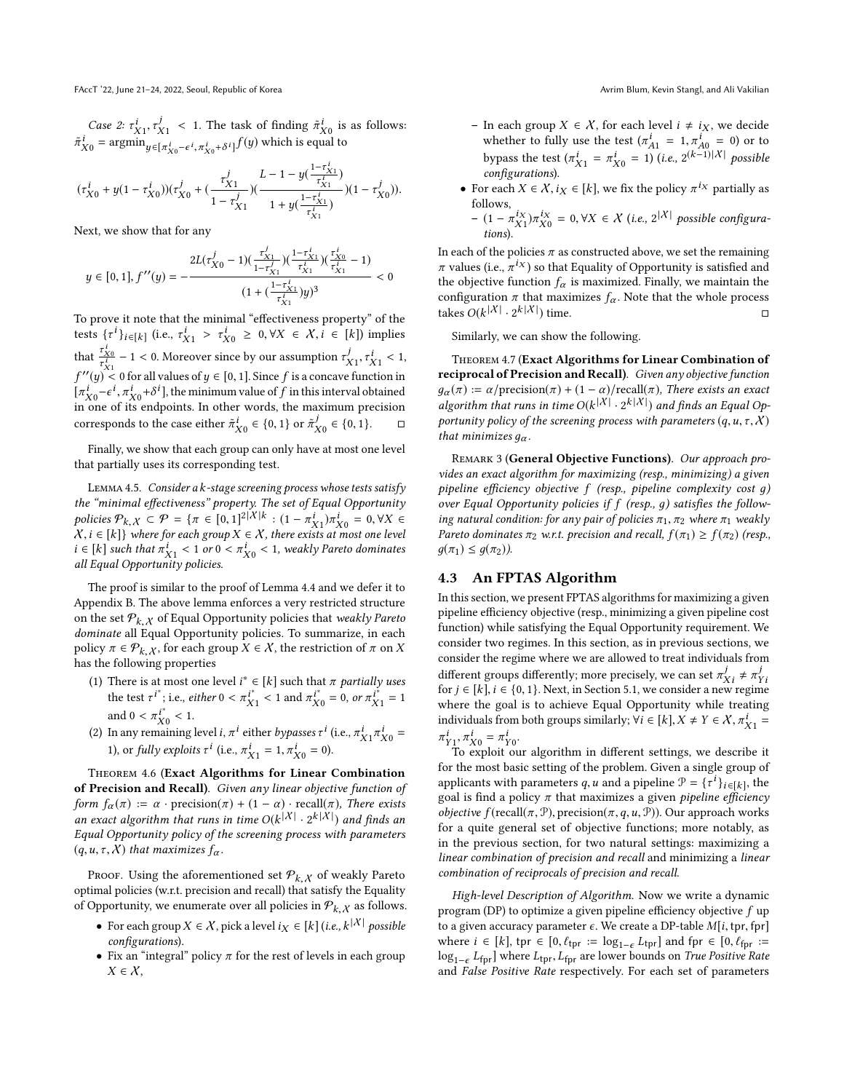Case 2:  $\tau_{X_1}^i$ ,  $\tau_{X_1}^j$  < 1. The task of finding  $\tilde{\pi}_{X_0}^i$  is as follows:  $\tilde{\pi}_{X0}^i$  = argmin $y \in [\pi_{X0}^i - \epsilon^i, \pi_{X0}^i + \delta^i]$  f(y) which is equal to

$$
(\tau_{X0}^i+y(1-\tau_{X0}^i))(\tau_{X0}^j+(\frac{\tau_{X1}^j}{1-\tau_{X1}^j})(\frac{L-1-y(\frac{1-\tau_{X1}^i}{\tau_{X1}^i})}{1+y(\frac{1-\tau_{X1}^i}{\tau_{X1}^i})})(1-\tau_{X0}^j)).
$$

Next, we show that for any

$$
y \in [0,1], f''(y) = -\frac{2L(\tau_{X0}^j - 1)(\frac{\tau_{X1}^j}{1 - \tau_{X1}^j})(\frac{1 - \tau_{X1}^j}{\tau_{X1}^i})(\frac{\tau_{X0}^j}{\tau_{X1}^j} - 1)}{(1 + (\frac{1 - \tau_{X1}^j}{\tau_{X1}^j})y)^3} < 0
$$

 $\tau_{\rm X1}$ <sup> $\tau_{\rm X2}$ </sup><sup> $\tau_{\rm X3}$ </sup><sup> $\tau_{\rm X1}$ </sup> $\tau_{\rm X2}$  or the To prove it note that the minimal "effectiveness property" of the tests  $\{\tau^i\}_{i \in [k]}$  (i.e.,  $\tau^i_{X1} > \tau^i_{X0} \ge 0, \forall X \in \mathcal{X}, i \in [k]$ ) implies that  $\frac{\tau_{X0}^2}{\tau_{X1}^4} - 1 < 0$ . Moreover since by our assumption  $\tau_{X1}^j, \tau_{X1}^j < 1$ ,<br> $\zeta_{X1}^{ij} \leq 0$ , for all values of  $\omega \in [0, 1]$ . Since of its convex function in  $\begin{cases} x_{x_1} \\ y' = 0 \text{ for all values of } y \in [0, 1]. \text{ Since } f \text{ is a concave function in } \\ r^i = c^i \pi^i + \frac{k^i}{2} \text{ the minimum value of } f \text{ in this interval obtained.} \end{cases}$  $\int_{\pi}^i \vec{h} \cdot \vec{h} = -\epsilon^i$ ,  $\pi^i_{X^0} + \delta^i$ , the minimum value of f in this interval obtained<br>in one of its endpoints. In other words, the maximum precision  $[\pi_{X0}^{\vee} - \epsilon^{\vee}, \pi_{X0}^{\vee} + \delta^{\vee}]$ , the minimum value of *f* in this interval obtained<br>in one of its endpoints. In other words, the maximum precision corresponds to the case either  $\tilde{\pi}_{X0}^i \in \{0, 1\}$  or  $\tilde{\pi}_{X0}^j \in \{0, 1\}$ .  $\Box$ 

Finally, we show that each group can only have at most one level that partially uses its corresponding test.

<span id="page-7-1"></span>Lemma 4.5. Consider a k-stage screening process whose tests satisfy the "minimal effectiveness" property. The set of Equal Opportunity policies  $P_{k, X} \subseteq \mathcal{P} = \{ \pi \in [0, 1]^2 | X | k : (1 - \pi_{X_1}^i) \pi_{X_0}^i = 0, \forall X \in \mathcal{X} \}$ .<br>  $X_i \in [k] \}$  where for each group  $X \in \mathcal{X}$ , there exists at most one level  $X, i \in [k]$  where for each group  $X \in X$ , there exists at most one level<br>i ∈ [k] such that  $\pi^i$  = < 1 or 0 <  $\pi^i$  = < 1 weakly Pareto dominates  $i \in [k]$  such that  $\pi_{X_1}^i < 1$  or  $0 < \pi_{X0}^i < 1$ , weakly Pareto dominates all Equal Opportunity policies. all Equal Opportunity policies.

The proof is similar to the proof of Lemma [4.4](#page-6-2) and we defer it to Appendix [B.](#page-10-0) The above lemma enforces a very restricted structure on the set  $P_{k, X}$  of Equal Opportunity policies that weakly Pareto<br>dominate all Equal Opportunity policies. To summarize, in each dominate all Equal Opportunity policies. To summarize, in each policy  $\pi \in \mathcal{P}_{k, X}$ , for each group  $X \in \mathcal{X}$ , the restriction of  $\pi$  on X has the following properties

- (1) There is at most one level  $i^* \in [k]$  such that  $\pi$  partially uses<br>the test  $\pi i^*$  is a situar  $0 \le \pi i^* \le 1$  and  $\pi i^* = 0$  or  $\pi i^* = 1$ the test  $\tau^{i^*}$ ; i.e., *either*  $0 < \pi^{i^*}_{X1} < 1$  and  $\pi^{i^*}_{X0} = 0$ , or  $\pi^{i^*}_{X1} = 1$ the test  $\tau^*$ ; i.e., either  $0 < \pi_{X1} < 1$  and  $\pi_{X0} = 0$ , or  $\pi_{X1}$ <br>and  $0 < \pi_{X0}^{i^*} < 1$ .<br>In any remaining level  $i \pi^i$  either hyposes  $\tau^i$  (i.e.  $\pi^i \pi^i$
- (2) In any remaining level *i*,  $\pi^{i}$  either *bypasses*  $\tau^{i}$  (i.e.,  $\pi^{i}_{X1}\pi^{i}_{X0}$  = 1) or *fully exploits*  $\tau^{i}$  (i.e.  $\pi^{i}$  = 1  $\pi^{i}$  = 0) 1), or *fully exploits*  $\tau^{i}$  (i.e.,  $\pi^{i}_{X1} = 1, \pi^{i}_{X0} = 0$ ).

Theorem 4.6 (Exact Algorithms for Linear Combination of Precision and Recall). Given any linear objective function of form  $f_{\alpha}(\pi) := \alpha \cdot \text{precision}(\pi) + (1 - \alpha) \cdot \text{recall}(\pi)$ , There exists an exact algorithm that runs in time  $O(k^{|X|} \cdot 2^{k|X|})$  and finds an<br>Equal Opportunity policy of the screening process with parameters Equal Opportunity policy of the screening process with parameters  $(q, u, \tau, \chi)$  that maximizes  $f_{\alpha}$ .

Proof. Using the aforementioned set  $P_{k, \chi}$  of weakly Pareto timel policies (w.r.t. precision and recall) that satisfy the Equality optimal policies (w.r.t. precision and recall) that satisfy the Equality of Opportunity, we enumerate over all policies in  $P_{k, X}$  as follows.

- For each group  $X \in \mathcal{X}$ , pick a level  $i_X \in [k]$  (i.e.,  $k^{|\mathcal{X}|}$  possible configurations) configurations).
- Fix an "integral" policy  $\pi$  for the rest of levels in each group  $X \in \mathcal{X}$ ,
- In each group  $X \in \mathcal{X}$ , for each level  $i \neq i_X$ , we decide whether to fully use the test  $(\pi_{A1}^i = 1, \pi_{A0}^i = 0)$  or to whether to fully use the test  $(\pi_{A1}^i = 1, \pi_{A0}^i = 0)$  or to<br>bypass the test  $(\pi_{X1}^i = \pi_{X0}^i = 1)$  (i.e.,  $2^{(k-1)|X|}$  possible<br>configurations). configurations).
- For each  $X \in \mathcal{X}, i_X \in [k]$ , we fix the policy  $\pi^{i_X}$  partially as follows follows,
	- $(1 \pi_{X_1}^{i_X})\pi_{X_0}^{i_X} = 0, ∀X ∈ X (i.e., 2^{|X|})$  possible configurations). tions).

In each of the policies  $\pi$  as constructed above, we set the remaining  $\pi$  values (i.e.,  $\pi^{iX}$ ) so that Equality of Opportunity is satisfied and the objective function f is maximized. Finally, we maintain the the objective function  $f_{\alpha}$  is maximized. Finally, we maintain the configuration π that maximizes  $f_\alpha$ . Note that the whole process takes  $O(k^{|X|} \cdot 2^{k^{|X|}})$  time. takes  $O(k^{|X|} \cdot 2^{k|X|})$  time.  $\square$ 

Similarly, we can show the following.

Theorem 4.7 (Exact Algorithms for Linear Combination of reciprocal of Precision and Recall). Given any objective function  $q_{\alpha}(\pi) := \alpha/\text{precision}(\pi) + (1 - \alpha)/\text{recall}(\pi)$ , There exists an exact algorithm that runs in time  $O(k^{|X|} \cdot 2^{k|X|})$  and finds an Equal Op-<br>portunity policy of the screening process with parameters (a, y, x, x) portunity policy of the screening process with parameters  $(q, u, \tau, \chi)$ that minimizes  $q_{\alpha}$ .

REMARK 3 (General Objective Functions). Our approach provides an exact algorithm for maximizing (resp., minimizing) a given pipeline efficiency objective f (resp., pipeline complexity cost д) over Equal Opportunity policies if f (resp., д) satisfies the following natural condition: for any pair of policies  $\pi_1$ ,  $\pi_2$  where  $\pi_1$  weakly Pareto dominates  $\pi_2$  w.r.t. precision and recall,  $f(\pi_1) \geq f(\pi_2)$  (resp.,  $g(\pi_1) \leq g(\pi_2)$ ).

# <span id="page-7-0"></span>4.3 An FPTAS Algorithm

In this section, we present FPTAS algorithms for maximizing a given pipeline efficiency objective (resp., minimizing a given pipeline cost function) while satisfying the Equal Opportunity requirement. We consider two regimes. In this section, as in previous sections, we consider the regime where we are allowed to treat individuals from different groups differently; more precisely, we can set  $\pi_{Xi}^j{}_i \neq \pi_{\Xi}^j$ <br>for  $i \in [k]$ ,  $i \in \{0, 1\}$ . Next, in Section 5.1, we consider a new regim for  $j \in [k]$ ,  $i \in \{0, 1\}$ . Next, in Section [5.1,](#page-8-1) we consider a new regime<br>where the goal is to achieve Equal Opportunity while treating where the goal is to achieve Equal Opportunity while treating individuals from both groups similarly;  $\forall i \in [k], X \neq Y \in X, \pi^i_{X1} =$  $\ddot{x}$ 1  $\pi_{Y_1}^i, \pi_{X_0}^i = \pi_{Y_0}^i$ .<br>To exploit ou

To exploit our algorithm in different settings, we describe it for the most basic setting of the problem. Given a single group of applicants with parameters q, u and a pipeline  $\mathcal{P} = \{ \tau^i \}_{i \in [k]}$ , the applicants with parameters q, *u* and a pipeline  $\mathcal{F} = \{ \tau^* \}_{i \in [k]}$ , the<br>goal is find a policy π that maximizes a given *pipeline efficiency*<br>objective  $f(\text{recall}(\pi, \mathcal{P})$  precision(π, a, y,  $\mathcal{P}$ )). Our approach w *objective*  $f(\text{recall}(\pi, \mathcal{P}), \text{precision}(\pi, q, u, \mathcal{P}))$ . Our approach works for a quite general set of objective functions; more notably, as in the previous section, for two natural settings: maximizing a linear combination of precision and recall and minimizing a linear combination of reciprocals of precision and recall.

High-level Description of Algorithm. Now we write a dynamic program (DP) to optimize a given pipeline efficiency objective  $f$  up to a given accuracy parameter  $\epsilon$ . We create a DP-table  $M[i, tpr, fpr]$ where  $i \in [k]$ , tpr  $\in [0, \ell_{\text{tpr}} := \log_{1-\epsilon} L_{\text{tpr}}]$  and fpr  $\in [0, \ell_{\text{fpr}} := \log_{1-\epsilon} L_{\text{tpr}}]$  are lower bounds on *True Positive Rate*  $\log_{1-\epsilon} L_{\text{fpr}}$ ] where  $L_{\text{tpr}}$ ,  $L_{\text{fpr}}$  are lower bounds on *True Positive Rate*<br>and *Ealse Positive Rate* respectively. For each set of parameters and False Positive Rate respectively. For each set of parameters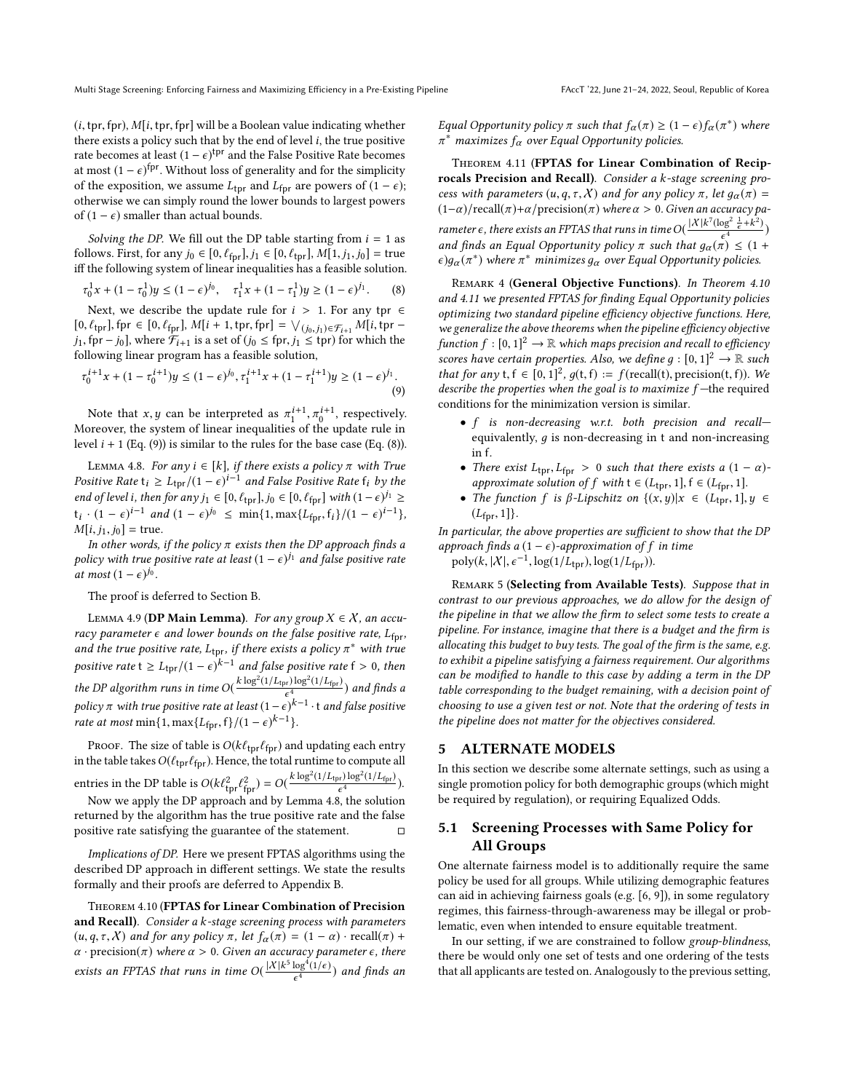$(i, tpr, fpr)$ ,  $M[i, tpr, fpr]$  will be a Boolean value indicating whether there exists a policy such that by the end of level  $i$ , the true positive rate becomes at least  $(1 - \epsilon)^{\text{tpr}}$  and the False Positive Rate becomes<br>at most  $(1 - \epsilon)^{\text{tpr}}$  Without loss of generality and for the simplicity at most  $(1 - \epsilon)^{\text{fpr}}$ . Without loss of generality and for the simplicity<br>of the exposition, we assume L, and L, are powers of  $(1 - \epsilon)^3$ of the exposition, we assume  $L_{\text{tpr}}$  and  $L_{\text{for}}$  are powers of  $(1 - \epsilon)$ ; otherwise we can simply round the lower bounds to largest powers of (1 –  $\epsilon$ ) smaller than actual bounds.

Solving the DP. We fill out the DP table starting from  $i = 1$  as follows. First, for any  $j_0 \in [0, \ell_{\text{for}}], j_1 \in [0, \ell_{\text{tor}}], M[1, j_1, j_0] = \text{true}$ iff the following system of linear inequalities has a feasible solution.

$$
\tau_0^1 x + (1 - \tau_0^1) y \le (1 - \epsilon)^{j_0}, \quad \tau_1^1 x + (1 - \tau_1^1) y \ge (1 - \epsilon)^{j_1}.
$$
 (8)

Next, we describe the update rule for  $i > 1$ . For any tpr  $\in$   $\ell$ ,  $\ell$  for  $\in$   $[0, \ell_{\ell} + M[i + 1 + n + f[n]] - \sqrt{\ell_{\ell+1}}]$ ,  $\in M[i + n - 1 + n + f[n]]$  $[0, \ell_{\text{tpr}}]$ , fpr  $\in [0, \ell_{\text{fpr}}]$ ,  $M[i + 1, \text{tpr}, \text{fpr}] = \bigvee_{(j_0, j_1) \in \mathcal{F}_{i+1}} M[i, \text{tpr} - j_1, \text{tpr} - j_2, \text{tpr}]$  where  $\mathcal{F}_{i+1}$  is a set of  $(j_0 \leq \text{fpr} - j_1 \leq \text{trr})$  for which the *j*<sub>1</sub>, fpr − *j*<sub>0</sub>], where  $\mathcal{F}_{i+1}$  is a set of (*j*<sub>0</sub> ≤ fpr, *j*<sub>1</sub> ≤ tpr) for which the following linear program has a feasible solution,

$$
\tau_0^{i+1}x + (1 - \tau_0^{i+1})y \le (1 - \epsilon)^{j_0}, \tau_1^{i+1}x + (1 - \tau_1^{i+1})y \ge (1 - \epsilon)^{j_1}.
$$
\n(9)

Note that x, y can be interpreted as  $\pi_1^{i+1}$ ,  $\pi_0^{i+1}$ , respectively.  $\frac{1}{2}$ ,  $\frac{1}{2}$ ,  $\frac{1}{2}$ ,  $\frac{1}{2}$ ,  $\frac{1}{2}$ ,  $\frac{1}{2}$ ,  $\frac{1}{2}$ ,  $\frac{1}{2}$ ,  $\frac{1}{2}$ ,  $\frac{1}{2}$ ,  $\frac{1}{2}$ ,  $\frac{1}{2}$ ,  $\frac{1}{2}$ ,  $\frac{1}{2}$ ,  $\frac{1}{2}$ ,  $\frac{1}{2}$ ,  $\frac{1}{2}$ ,  $\frac{1}{2}$ ,  $\frac{1}{2}$ ,  $\frac{1}{2}$ , level  $i + 1$  (Eq. [\(9\)](#page-8-2)) is similar to the rules for the base case (Eq. [\(8\)](#page-8-3)).

<span id="page-8-4"></span>LEMMA 4.8. For any  $i \in [k]$ , if there exists a policy  $\pi$  with True Positive Rate  $t_i \ge L_{\text{typ}}/(1-\epsilon)^{i-1}$  and False Positive Rate  $f_i$  by the end of level i, then for any  $j_1 \in [0, \ell_{\text{fpr}}], j_0 \in [0, \ell_{\text{fpr}}]$  with  $(1 - \epsilon)^{j_1} \ge$ <br>the  $(1 - \epsilon)^{j-1}$  and  $(1 - \epsilon)^{j_0} \leq \min\{1, \max\{1, \ell_1, \ell_2\} \}$  $t_i \cdot (1 - \epsilon)^{i-1}$  and  $(1 - \epsilon)^{j_0} \le \min\{1, \max\{L_{\text{fpr}}^f, f_i\} / (1 - \epsilon)^{i-1}\},$ <br>
M<sub>1</sub><sub>i</sub> i, i, ] – true  $M[i, j_1, j_0] =$  true.

In other words, if the policy  $\pi$  exists then the DP approach finds a policy with true positive rate at least  $(1 - \epsilon)^{j_1}$  and false positive rate<br>at most  $(1 - \epsilon)^{j_0}$ at most  $(1 - \epsilon)^{j_0}$ .

#### The proof is deferred to Section [B.](#page-10-0)

<span id="page-8-7"></span>LEMMA 4.9 (DP Main Lemma). For any group  $X \in \mathcal{X}$ , an accuracy parameter  $\epsilon$  and lower bounds on the false positive rate,  $L_{\text{for}}$ , and the true positive rate,  $L_{\text{tpr}}$ , if there exists a policy  $\pi$ <br>notion with  $\sum_{i=1}^{L} f(i)$  and false positive with and the true positive rate,  $L_{\text{tpr}}$ , if there exists a policy  $\pi^*$  with true positive rate  $t \ge L_{\text{tpr}}/(1-\epsilon)^{k-1}$  and false positive rate  $f > 0$ , then the DP algorithm runs in time  $O(\frac{k \log^2(1/L_{\text{tpr}}) \log^2(1/L_{\text{fp}})}{\epsilon^4})$  $\frac{e^4}{e^4}$ ) and finds a<br>  $\frac{e^4}{e^4}$ policy  $\pi$  with true positive rate at least  $(1-\epsilon)^{k-1} \cdot t$  and false positive<br>rate at most min  $(1 - \epsilon)^{k-1}$ rate at most min{1, max{L<sub>fpr</sub>, f}/(1 –  $\epsilon$ )<sup>k-1</sup>}.

Proof. The size of table is  $O(k\ell_{\text{tpr}}\ell_{\text{fpr}})$  and updating each entry in the table takes  $O(\ell_{\text{tpr}}\ell_{\text{fpr}})$ . Hence, the total runtime to compute all  $\frac{k \log^2(1/L - 1) \log^2(1/L)}{k}$ entries in the DP table is  $O(k\ell_{\text{th}}^2)$ tpr $\frac{1}{1}$  $f_{\text{pp}}$ ) =  $O(\frac{k \log^2(1/L_{\text{tpr}}) \log^2(1/L_{\text{fpr}})}{e^4})$  $\frac{\epsilon^{4}}{\epsilon^{4}}$ ).<br>
the solution

Now we apply the DP approach and by Lemma [4.8,](#page-8-4) the solution returned by the algorithm has the true positive rate and the false positive rate satisfying the guarantee of the statement.

Implications of DP. Here we present FPTAS algorithms using the described DP approach in different settings. We state the results formally and their proofs are deferred to Appendix [B.](#page-10-0)

<span id="page-8-5"></span>Theorem 4.10 (FPTAS for Linear Combination of Precision and Recall). Consider a k-stage screening process with parameters  $(u, q, \tau, X)$  and for any policy  $\pi$ , let  $f_{\alpha}(\pi) = (1 - \alpha) \cdot \text{recall}(\pi) +$  $\alpha$  · precision( $\pi$ ) where  $\alpha > 0$ . Given an accuracy parameter  $\epsilon$ , there exists an FPTAS that runs in time  $O(\frac{|X|k^5\log^4(1/\epsilon)}{\epsilon^4})$  and finds an Equal Opportunity policy  $\pi$  such that  $f_{\alpha}(\pi) \geq (1 - \epsilon) f_{\alpha}(\pi^*)$  where  $\pi^*$  maximizes  $f_{\alpha}$  over Equal Opportunity policies  $\pi^*$  maximizes  $f_\alpha$  over Equal Opportunity policies.

<span id="page-8-6"></span>Theorem 4.11 (FPTAS for Linear Combination of Reciprocals Precision and Recall). Consider a k-stage screening process with parameters  $(u, q, \tau, X)$  and for any policy  $\pi$ , let  $g_{\alpha}(\pi) =$  $(1-\alpha)/\mathrm{recall}(\pi)+\alpha/\mathrm{precision}(\pi)$  where  $\alpha > 0$ . Given an accuracy parameter  $\epsilon$ , there exists an FPTAS that runs in time  $O(\frac{|X|k^7(\log^2 \frac{1}{\epsilon} + k^2)}{\epsilon^4})$ and finds an Equal Opportunity policy  $\pi$  such that  $g_{\alpha}(\pi) \leq (1 + \epsilon) a(\pi^*)$  where  $\pi^*$  minimizes a cover Equal Opportunity policies  $\epsilon)g_{\alpha}(\pi^*)$  where  $\pi^*$  minimizes  $g_{\alpha}$  over Equal Opportunity policies.

<span id="page-8-3"></span>REMARK 4 (General Objective Functions). In Theorem [4.10](#page-8-5) and [4.11](#page-8-6) we presented FPTAS for finding Equal Opportunity policies optimizing two standard pipeline efficiency objective functions. Here, we generalize the above theorems when the pipeline efficiency objective function  $f : [0, 1]^2 \to \mathbb{R}$  which maps precision and recall to efficiency<br>scores have certain properties. Also, we define  $a : [0, 1]^2 \to \mathbb{R}$  such scores have certain properties. Also, we define  $g : [0,1]^2 \rightarrow \mathbb{R}$  such that for any  $f \in [0, 1]^2$  a(t f)  $\Rightarrow$  f(recall(t) precision(t f)) We that for any t,  $f \in [0, 1]^2$ ,  $g(t, f) := f(\text{recall}(t), \text{precision}(t, f))$ . We describe the properties when the soal is to maximize f—the required describe the properties when the goal is to maximize  $f$ -the required conditions for the minimization version is similar.

- <span id="page-8-2"></span>• f is non-decreasing w.r.t. both precision and recall equivalently,  $q$  is non-decreasing in  $t$  and non-increasing in f.
- There exist  $L_{\text{tpr}}, L_{\text{fpr}} > 0$  such that there exists a  $(1 \alpha)$ approximate solution of f with  $t \in (L_{\text{tpr}}, 1], f \in (L_{\text{fpr}}, 1].$
- The function f is  $\beta$ -Lipschitz on  $\{(x,y)|x \in (L_{\text{tpr}}, 1], y \in$  $(L_{\text{fpr}}, 1]$ .

In particular, the above properties are sufficient to show that the DP approach finds a  $(1 - \epsilon)$ -approximation of f in time poly $(k, |X|, \epsilon^{-1}, \log(1/L_{\text{tpr}}), \log(1/L_{\text{fpr}})).$ 

Remark 5 (Selecting from Available Tests). Suppose that in contrast to our previous approaches, we do allow for the design of the pipeline in that we allow the firm to select some tests to create a pipeline. For instance, imagine that there is a budget and the firm is allocating this budget to buy tests. The goal of the firm is the same, e.g. to exhibit a pipeline satisfying a fairness requirement. Our algorithms can be modified to handle to this case by adding a term in the DP table corresponding to the budget remaining, with a decision point of choosing to use a given test or not. Note that the ordering of tests in the pipeline does not matter for the objectives considered.

#### <span id="page-8-0"></span>5 ALTERNATE MODELS

In this section we describe some alternate settings, such as using a single promotion policy for both demographic groups (which might be required by regulation), or requiring Equalized Odds.

# <span id="page-8-1"></span>5.1 Screening Processes with Same Policy for All Groups

One alternate fairness model is to additionally require the same policy be used for all groups. While utilizing demographic features can aid in achieving fairness goals (e.g. [\[6,](#page-9-5) [9\]](#page-9-1)), in some regulatory regimes, this fairness-through-awareness may be illegal or problematic, even when intended to ensure equitable treatment.

In our setting, if we are constrained to follow group-blindness, there be would only one set of tests and one ordering of the tests that all applicants are tested on. Analogously to the previous setting,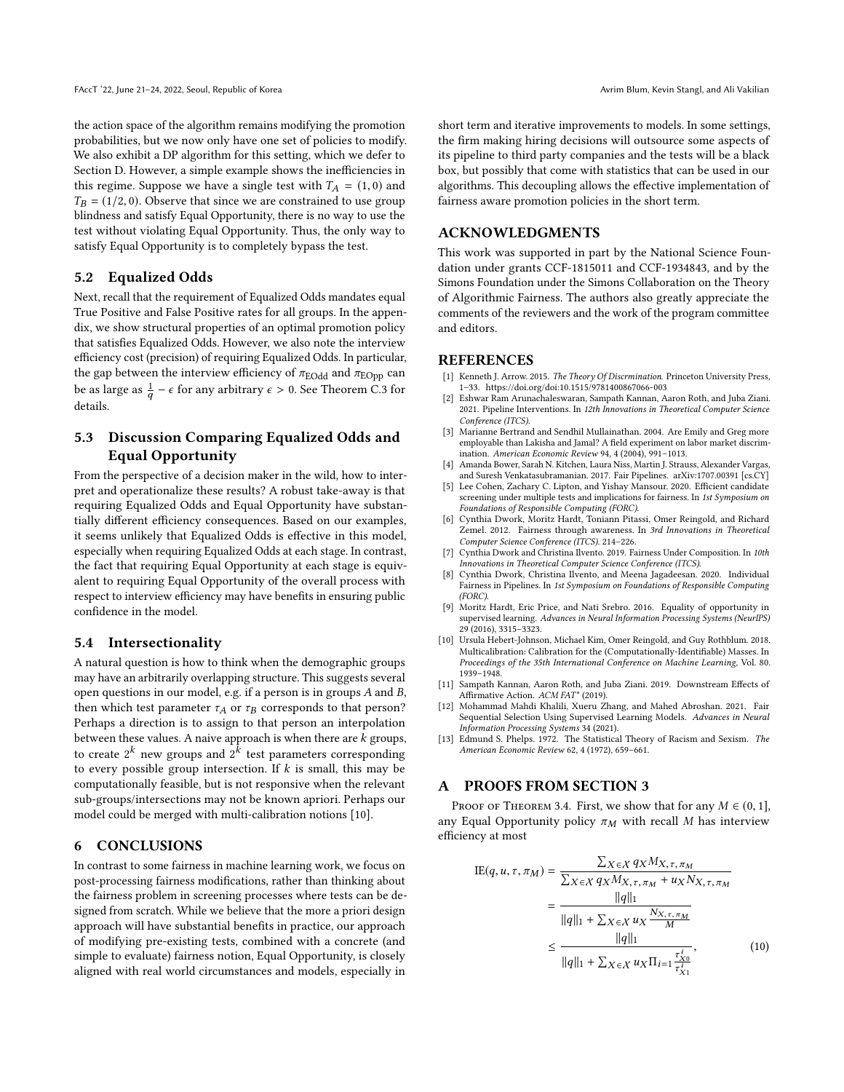the action space of the algorithm remains modifying the promotion probabilities, but we now only have one set of policies to modify. We also exhibit a DP algorithm for this setting, which we defer to Section [D.](#page-13-0) However, a simple example shows the inefficiencies in this regime. Suppose we have a single test with  $T_A = (1, 0)$  and  $T_B = (1/2, 0)$ . Observe that since we are constrained to use group blindness and satisfy Equal Opportunity, there is no way to use the test without violating Equal Opportunity. Thus, the only way to satisfy Equal Opportunity is to completely bypass the test.

## <span id="page-9-15"></span>5.2 Equalized Odds

Next, recall that the requirement of Equalized Odds mandates equal True Positive and False Positive rates for all groups. In the appendix, we show structural properties of an optimal promotion policy that satisfies Equalized Odds. However, we also note the interview efficiency cost (precision) of requiring Equalized Odds. In particular, the gap between the interview efficiency of  $\pi_{\rm EOdd}$  and  $\pi_{\rm EOpp}$  can be as large as  $\frac{1}{q} - \epsilon$  for any arbitrary  $\epsilon > 0$ . See Theorem [C.3](#page-13-1) for  $\overline{a}$ details.

# 5.3 Discussion Comparing Equalized Odds and Equal Opportunity

From the perspective of a decision maker in the wild, how to interpret and operationalize these results? A robust take-away is that requiring Equalized Odds and Equal Opportunity have substantially different efficiency consequences. Based on our examples, it seems unlikely that Equalized Odds is effective in this model, especially when requiring Equalized Odds at each stage. In contrast, the fact that requiring Equal Opportunity at each stage is equivalent to requiring Equal Opportunity of the overall process with respect to interview efficiency may have benefits in ensuring public confidence in the model.

#### 5.4 Intersectionality

A natural question is how to think when the demographic groups may have an arbitrarily overlapping structure. This suggests several open questions in our model, e.g. if a person is in groups A and B, then which test parameter  $\tau_A$  or  $\tau_B$  corresponds to that person? Perhaps a direction is to assign to that person an interpolation between these values. A naive approach is when there are  $k$  groups, to create  $2^k$  new groups and  $2^k$  test parameters corresponding to every possible group intersection. If  $k$  is small, this may be computationally feasible, but is not responsive when the relevant sub-groups/intersections may not be known apriori. Perhaps our model could be merged with multi-calibration notions [\[10\]](#page-9-13).

#### 6 CONCLUSIONS

In contrast to some fairness in machine learning work, we focus on post-processing fairness modifications, rather than thinking about the fairness problem in screening processes where tests can be designed from scratch. While we believe that the more a priori design approach will have substantial benefits in practice, our approach of modifying pre-existing tests, combined with a concrete (and simple to evaluate) fairness notion, Equal Opportunity, is closely aligned with real world circumstances and models, especially in

short term and iterative improvements to models. In some settings, the firm making hiring decisions will outsource some aspects of its pipeline to third party companies and the tests will be a black box, but possibly that come with statistics that can be used in our algorithms. This decoupling allows the effective implementation of fairness aware promotion policies in the short term.

### ACKNOWLEDGMENTS

This work was supported in part by the National Science Foundation under grants CCF-1815011 and CCF-1934843, and by the Simons Foundation under the Simons Collaboration on the Theory of Algorithmic Fairness. The authors also greatly appreciate the comments of the reviewers and the work of the program committee and editors.

#### REFERENCES

- <span id="page-9-10"></span>[1] Kenneth J. Arrow. 2015. The Theory Of Discrmination. Princeton University Press, 1–33.<https://doi.org/doi:10.1515/9781400867066-003>
- <span id="page-9-7"></span>[2] Eshwar Ram Arunachaleswaran, Sampath Kannan, Aaron Roth, and Juba Ziani. 2021. Pipeline Interventions. In 12th Innovations in Theoretical Computer Science Conference (ITCS).
- <span id="page-9-0"></span>[3] Marianne Bertrand and Sendhil Mullainathan. 2004. Are Emily and Greg more employable than Lakisha and Jamal? A field experiment on labor market discrimination. American Economic Review 94, 4 (2004), 991–1013.
- <span id="page-9-2"></span>[4] Amanda Bower, Sarah N. Kitchen, Laura Niss, Martin J. Strauss, Alexander Vargas, and Suresh Venkatasubramanian. 2017. Fair Pipelines. arXiv[:1707.00391](https://arxiv.org/abs/1707.00391) [cs.CY]
- <span id="page-9-9"></span>[5] Lee Cohen, Zachary C. Lipton, and Yishay Mansour. 2020. Efficient candidate screening under multiple tests and implications for fairness. In 1st Symposium on Foundations of Responsible Computing (FORC).
- <span id="page-9-5"></span>[6] Cynthia Dwork, Moritz Hardt, Toniann Pitassi, Omer Reingold, and Richard Zemel. 2012. Fairness through awareness. In 3rd Innovations in Theoretical Computer Science Conference (ITCS). 214–226.
- <span id="page-9-3"></span>[7] Cynthia Dwork and Christina Ilvento. 2019. Fairness Under Composition. In 10th Innovations in Theoretical Computer Science Conference (ITCS).
- <span id="page-9-4"></span>[8] Cynthia Dwork, Christina Ilvento, and Meena Jagadeesan. 2020. Individual Fairness in Pipelines. In 1st Symposium on Foundations of Responsible Computing (FORC).
- <span id="page-9-1"></span>[9] Moritz Hardt, Eric Price, and Nati Srebro. 2016. Equality of opportunity in supervised learning. Advances in Neural Information Processing Systems (NeurIPS) 29 (2016), 3315–3323.
- <span id="page-9-13"></span>[10] Ursula Hebert-Johnson, Michael Kim, Omer Reingold, and Guy Rothblum. 2018. Multicalibration: Calibration for the (Computationally-Identifiable) Masses. In Proceedings of the 35th International Conference on Machine Learning, Vol. 80. 1939–1948.
- <span id="page-9-6"></span>[11] Sampath Kannan, Aaron Roth, and Juba Ziani. 2019. Downstream Effects of Affirmative Action. ACM FAT\* (2019).
- <span id="page-9-8"></span>[12] Mohammad Mahdi Khalili, Xueru Zhang, and Mahed Abroshan. 2021. Fair Sequential Selection Using Supervised Learning Models. Advances in Neural Information Processing Systems 34 (2021).
- <span id="page-9-11"></span>[13] Edmund S. Phelps. 1972. The Statistical Theory of Racism and Sexism. The American Economic Review 62, 4 (1972), 659–661.

#### <span id="page-9-12"></span>A PROOFS FROM SECTION [3](#page-3-0)

PROOF OF THEOREM [3.4.](#page-4-2) First, we show that for any  $M \in (0, 1]$ , any Equal Opportunity policy  $\pi_M$  with recall M has interview efficiency at most

<span id="page-9-14"></span>
$$
IE(q, u, \tau, \pi_M) = \frac{\sum_{X \in \mathcal{X}} q_X M_{X, \tau, \pi_M}}{\sum_{X \in \mathcal{X}} q_X M_{X, \tau, \pi_M} + u_X N_{X, \tau, \pi_M}}
$$
  
= 
$$
\frac{||q||_1}{||q||_1 + \sum_{X \in \mathcal{X}} u_X \frac{N_{X, \tau, \pi_M}}{M}}
$$
  
\$\leq\$ 
$$
\frac{||q||_1}{||q||_1 + \sum_{X \in \mathcal{X}} u_X \Pi_{i=1} \frac{\tau_{X_0}^i}{\tau_{X_1}^i}},
$$
(10)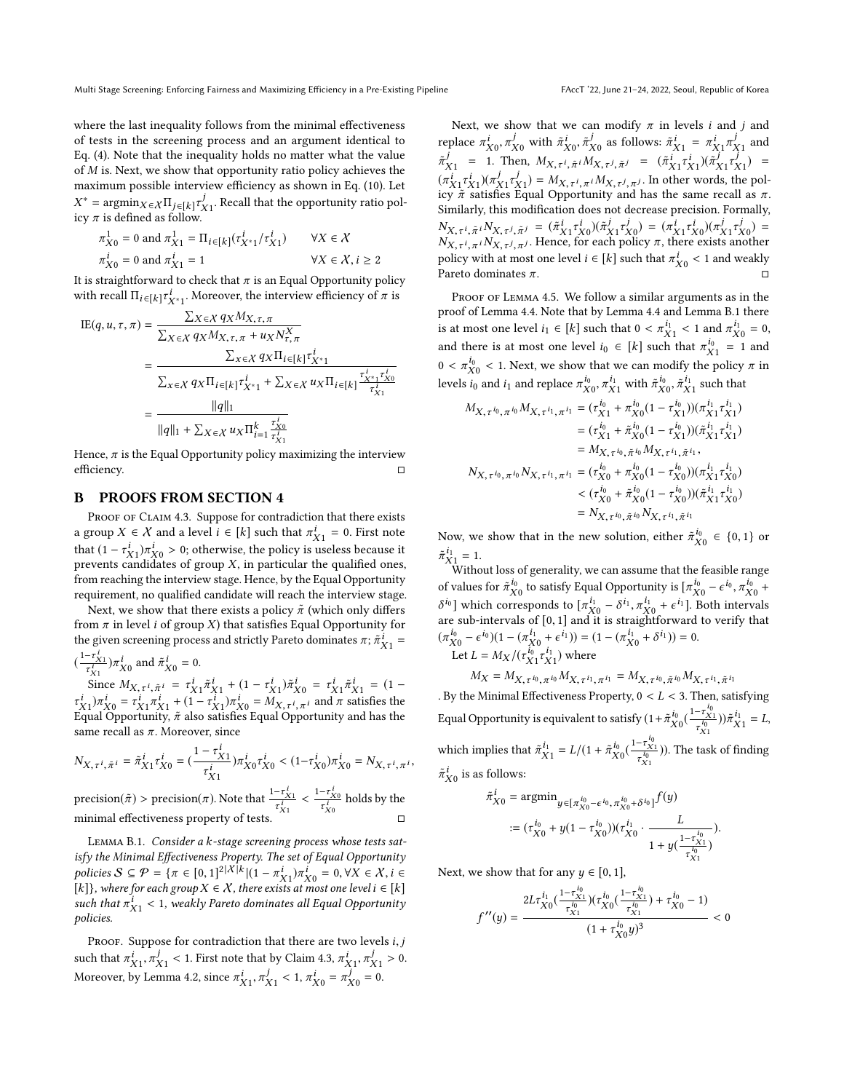where the last inequality follows from the minimal effectiveness of tests in the screening process and an argument identical to Eq. [\(4\)](#page-4-0). Note that the inequality holds no matter what the value of M is. Next, we show that opportunity ratio policy achieves the maximum possible interview efficiency as shown in Eq. [\(10\)](#page-9-14). Let icy  $\pi$  is defined as follow.  $^*$  = argmin $\chi$ ∈ $\chi$ Π $_j$ ∈[k] $\tau_{j1}^j$ . Recall that the opportunity ratio pol-<br>v π is defined as follow.

$$
\pi_{X0}^1 = 0 \text{ and } \pi_{X1}^1 = \Pi_{i \in [k]}(\tau_{X^*1}^i / \tau_{X1}^i) \qquad \forall X \in \mathcal{X}
$$
  

$$
\pi_{X0}^i = 0 \text{ and } \pi_{X1}^i = 1 \qquad \forall X \in \mathcal{X}, i \ge 2
$$

It is straightforward to check that  $\pi$  is an Equal Opportunity policy<br>with recall  $\Pi_{\text{L}}$  case  $\pi^i$  Moreover, the interview efficiency of  $\pi$  is with recall  $\Pi_{i \in [k]} \tau^i_{X^*1}$ . Moreover, the interview efficiency of  $\pi$  is

$$
\begin{split} \text{IE}(q, u, \tau, \pi) &= \frac{\sum_{X \in \mathcal{X}} q_X M_{X, \tau, \pi}}{\sum_{X \in \mathcal{X}} q_X M_{X, \tau, \pi} + u_X N_{\tau, \pi}^X} \\ &= \frac{\sum_{x \in \mathcal{X}} q_X \Pi_i \epsilon[k] \tau_{X^*1}^i}{\sum_{x \in \mathcal{X}} q_X \Pi_i \epsilon[k] \tau_{X^*1}^i + \sum_{X \in \mathcal{X}} u_X \Pi_i \epsilon[k]} \frac{\tau_{X^*1}^i \tau_{X^*1}^i}{\tau_{X1}^i} \\ &= \frac{\|q\|_1}{\|q\|_1 + \sum_{X \in \mathcal{X}} u_X \Pi_{i=1}^k \frac{\tau_{X^0}^i}{\tau_{X1}^i}} \end{split}
$$

Hence,  $\pi$  is the Equal Opportunity policy maximizing the interview efficiency. □

### <span id="page-10-0"></span>B PROOFS FROM SECTION [4](#page-5-4)

PROOF OF CLAIM [4.3.](#page-6-3) Suppose for contradiction that there exists a group  $X \in \mathcal{X}$  and a level  $i \in [k]$  such that  $\pi_{X_1}^i = 0$ . First note<br>that  $(1 - \tau^i) \pi^i \geq 0$  otherwise the policy is useless because it that  $(1 - \tau_{X1}^i) \pi_{X0}^i > 0$ ; otherwise, the policy is useless because it<br>prevents candidates of group Y in particular the qualified ones that  $(1 - \tau_{X_1})\pi_{X_0} > 0$ ; otherwise, the policy is useless because it<br>prevents candidates of group X, in particular the qualified ones,<br>from reaching the interview stage. Hence, by the Equal Opportunity from reaching the interview stage. Hence, by the Equal Opportunity requirement, no qualified candidate will reach the interview stage.

Next, we show that there exists a policy  $\tilde{\pi}$  (which only differs from  $\pi$  in level *i* of group *X*) that satisfies Equal Opportunity for the given screening process and strictly Pareto dominates  $\pi$ ;  $\tilde{\pi}_{X_1}^i$  =  $\left(\frac{1-\tau_{X1}^i}{\tau_{X1}^i}\right)\pi_{X0}^i$  and  $\tilde{\pi}_{X0}^i = 0$ .

 $\tau_{X1}^{i}$   $\lambda v$   $\lambda v$ <br>
Since  $M_{X,\tau^{i},\tilde{\pi}^{i}} = \tau_{X1}^{i} \tilde{\pi}_{X1}^{i} + (1 - \tau_{X1}^{i}) \tilde{\pi}_{X0}^{i} = \tau_{X1}^{i} \tilde{\pi}_{X1}^{i} = (1 - \tau_{X1}^{i}) \tilde{\pi}_{X0}^{i}$ <br>  $\lambda v$   $\mu^{i} = \tau_{X1}^{i} \tilde{\pi}_{X1}^{i} + (1 - \tau_{X1}^{i}) \tilde{\pi}_{X1}^{i} = M_{X}$   $\mu^{i}$ ,  $\tau_{X_1}^i \gamma_{X_0}^i = \tau_{X_1}^i \pi_{X_1}^i + (1 - \tau_{X_1}^i) \pi_{X_0}^i = M_{X, \tau_i^i, \pi_i}$  and  $\pi$  satisfies the Equal Opportunity.  $\tilde{\pi}$  also satisfies Equal Opportunity and has the Equal Opportunity,  $\tilde{\pi}$  also satisfies Equal Opportunity and has the same recall as  $\pi$ . Moreover, since

$$
N_{X,\tau^i,\tilde{\pi}^i}=\tilde{\pi}^i_{X1}\tau^i_{X0}=(\frac{1-\tau^i_{X1}}{\tau^i_{X1}})\pi^i_{X0}\tau^i_{X0}<(1-\tau^i_{X0})\pi^i_{X0}=N_{X,\tau^i,\pi^i},
$$

precision( $\pi$ ) > precision( $\pi$ ). Note that  $\frac{1-\tau_{X_1}^i}{\tau_{X_1}^i}$  $\frac{-\tau_{X1}^i}{\tau_{X1}^i} < \frac{1-\tau_{X0}^i}{\tau_{X0}^i}$  $\tau_{X0}$ holds by the minimal effectiveness property of tests.

<span id="page-10-1"></span>Lemma B.1. Consider a k-stage screening process whose tests satisfy the Minimal Effectiveness Property. The set of Equal Opportunity policies  $S \subseteq \mathcal{P} = \{ \pi \in [0,1]^{2|\mathcal{X}|k} | (1 - \pi_{X_1}^i) \pi_{X_0}^i = 0, \forall X \in \mathcal{X}, i \in [k]\}$ . where for each group  $X \in \mathcal{X}$ , there exists at most one level  $i \in [k]$ [k]}, where for each group  $X \in \mathcal{X}$ , there exists at most one level  $i \in [k]$ such that  $\pi_{X1}^i < 1$ , weakly Pareto dominates all Equal Opportunity<br>policies. policies.

PROOF. Suppose for contradiction that there are two levels  $i, j$ such that  $\pi_{X_1}^i$ ,  $\pi_{X_1}^j$  < 1. First note that by Claim [4.3,](#page-6-3)  $\pi_{X_1}^i$ ,  $\pi_{X_1}^j$  > 0.<br>Moreover by Lamma 4.2, since  $\pi_i^j$  =  $\pi_i^j$  =  $\pi_i^j$  =  $\pi_i^j$  = 0. Moreover, by Lemma [4.2,](#page-6-4) since  $\pi_{X_1}^i$ ,  $\pi_{X_1}^j$  < 1,  $\pi_{X_0}^i = \pi_{X_0}^j = 0$ .

Next, we show that we can modify  $\pi$  in levels *i* and *j* and replace  $\pi_{X_0}^i$ ,  $\pi_{X_0}^j$  with  $\tilde{\pi}_{X_0}^i$ ,  $\tilde{\pi}_{X_0}^j$  as follows:  $\tilde{\pi}_{X_1}^i = \pi_{X_1}^i \pi_{X_1}^j$  and  $\pi_{X0}$ ,  $\pi_{X0}$  with  $\pi_{X0}$ ,  $\pi_{X0}$  as follows:  $\pi_{X1} = \pi_{X1} \pi_{X1}$ <br>1. Then  $M_{X}$   $\pi_{X1} = (\tilde{\pi}^i \pi^i)(\tilde{\pi}^j \pi^j)$  $\tilde{\pi}_{X_1}^j = 1$ . Then,  $M_{X,\tau^j, \tilde{\pi}^j} M_{X,\tau^j, \tilde{\pi}^j} = (\tilde{\pi}_{X_1}^i \tau_{X_1}^j)(\tilde{\pi}_{X_1}^j \tau_{X_1}^j) =$  $(\pi_{X_1}^i \tau_{X_1}^j)(\pi_{X_1}^j \tau_{X_1}^j) = M_{X, \tau^i, \pi^i} M_{X, \tau^j, \pi^j}$ . In other words, the pol-<br>icy  $\tilde{\pi}$  satisfies Equal Opportunity and has the same recall as  $\pi$ . icy  $\pi$  satisfies Equal Opportunity and has the same recall as  $\pi$ .<br>Similarly this modification does not decrease precision Formally. Similarly, this modification does not decrease precision. Formally,  $N_{X,\tau^i, \tilde{\pi}^i} N_{X,\tau^j, \tilde{\pi}^j} = (\tilde{\pi}^i_{X1} \tau^i_{X0})(\tilde{\pi}^j_{X1} \tau^j_{X0}) = (\pi^i_{X1} \tau^i_{X0})(\pi^j_{X1} \tau^j_{X0}) =$ <br>  $N_{X,\tau^i, i} N_{X,\tau^j, \tilde{\pi}^j} = (j$ . Hence, for each policy  $\pi$ , there exists another  $N_{X, \tau^i, \pi^i} N_{X, \tau^j, \pi^j}$ . Hence, for each policy  $\pi$ , there exists another<br>policy with at most one lovel i.e.  $[k]$  such that  $\pi^i$ . policy with at most one level  $i \in [k]$  such that  $\pi_{X_0}^i < 1$  and weakly Pareto dominates  $\pi$ . Pareto dominates  $\pi$ .  $\Box$ 

PROOF OF LEMMA [4.5.](#page-7-1) We follow a similar arguments as in the proof of Lemma [4.4.](#page-6-2) Note that by Lemma [4.4](#page-6-2) and Lemma [B.1](#page-10-1) there is at most one level  $i_1 \in [k]$  such that  $0 < \pi_{X_1}^{i_1} < 1$  and  $\pi_{X_0}^{i_1} = 0$ ,<br>and there is at most one level  $i_1 \in [k]$  such that  $\pi_{X_0}^{i_0} = 1$  and and there is at most one level  $i_0 \in [k]$  such that  $\pi_{X_1}^{i_0} = 1$  and  $0 \le \pi^{i_0} \le 1$ . Next, we show that we see modify the policy  $\pi$  in  $0 < \pi_{X0}^{i_0} < 1$ . Next, we show that we can modify the policy  $\pi$  in layer is and is and rapide  $\pi^{i_0}$ ,  $\pi^{i_1}$ , with  $\tilde{\pi}^{i_0}$ ,  $\tilde{\pi}^{i_1}$ , with that levels  $i_0$  and  $i_1$  and replace  $\pi_{X_0}^{i_0}$ ,  $\pi_{X1}^{i_1}$  with  $\tilde{\pi}_{X_0}^{i_0}$ ,  $\tilde{\pi}_{X1}^{i_1}$  such that

MX,τ i0,π <sup>i</sup><sup>0</sup> <sup>M</sup>X,τ i1,π <sup>i</sup><sup>1</sup> <sup>=</sup> (<sup>τ</sup> i0 X1 + π i0 X0 (<sup>1</sup> <sup>−</sup> τ i0 X1 ))(π i1 X1 i1 X1 ) = (τ i0 X1 + π˜ i0 X0 (<sup>1</sup> <sup>−</sup> τ i0 X1 ))(π˜ i1 X1 i1 X1 ) <sup>=</sup> <sup>M</sup>X,τ i0,π˜ <sup>i</sup><sup>0</sup> <sup>M</sup>X,τ i1,π˜ i1 , NX,τ i0,π <sup>i</sup><sup>0</sup> <sup>N</sup>X,τ i1,π <sup>i</sup><sup>1</sup> <sup>=</sup> (<sup>τ</sup> i0 X0 + π i0 X0 (<sup>1</sup> <sup>−</sup> τ i0 X0 ))(π i1 X1 i1 X0 ) < (τ i0 X0 + π˜ i0 X0 (<sup>1</sup> <sup>−</sup> τ i0 X0 ))(π˜ i1 X1 i1 X0 ) <sup>=</sup> <sup>N</sup>X,τ i0,π˜ <sup>i</sup><sup>0</sup> <sup>N</sup>X,τ i1,π˜ i1

Now, we show that in the new solution, either  $\tilde{\pi}_{X0}^{i_0} \in \{0,1\}$  or  $\overline{X}0$  $\tilde{\pi}_{X_1}^{i_1} = 1.$  Witho

Without loss of generality, we can assume that the feasible range of values for  $\tilde{\pi}_{X0}^{i_0}$  to satisfy Equal Opportunity is  $[\pi_{X0}^{i_0} - \epsilon^{i_0}]$  $\frac{i_0}{x_0}$  to satisfy Equal Opportunity is  $[\pi^{i_0}_{X0}-\epsilon^{i_0}, \pi^{i_0}_{X0}+$ *i* values for  $\pi_{X_0}^X$  to satisfy Equal Opportunity is  $[\pi_{X_0}^X - \epsilon^0, \pi_{X_0}^X + \epsilon^{i_1}]$ , which corresponds to  $[\pi_{X_0}^{i_1} - \delta^{i_1}, \pi_{X_0}^{i_1} + \epsilon^{i_1}]$ . Both intervals  $\sigma^{0}$  which corresponds to  $[\pi_{X0}^{\times} - \sigma^{1}, \pi_{X0}^{\times} + \epsilon^{1}]$ . Both intervals<br>are sub-intervals of [0, 1] and it is straightforward to verify that  $(\pi_{X0}^{i_0} - \epsilon^{i_0})(1 - (\pi_{X0}^{i_1} + \epsilon^{i_1})) = (1 - (\pi_{X0}^{i_1} + \delta^{i_1})) = 0.$ <br>Let  $I = M_{X} / (\pi^{i_0} - \epsilon^{i_1})$  where Let  $L = M_X / (\tau_{X1}^{i_0} \tau_{X1}^{i_1})$  where

$$
M_X = M_{X, \tau^{i_0}, \pi^{i_0}} M_{X, \tau^{i_1}, \pi^{i_1}} = M_{X, \tau^{i_0}, \tilde{\pi}^{i_0}} M_{X, \tau^{i_1}, \tilde{\pi}^{i_1}}
$$

. By the Minimal Effectiveness Property,  $0 < L < 3$ . Then, satisfying Equal Opportunity is equivalent to satisfy  $(1 + \tilde{\pi}_{X0}^{i_0}(\frac{1 - \tau_{X1}^{i_0}}{\tau_{X1}^{i_0}}))\tilde{\pi}_{X1}^{i_1} = L,$ which implies that  $\tilde{\pi}_{X1}^{i_1} = L/(1 + \tilde{\pi}_{X0}^{i_0}(\frac{1 - \tau_{X1}^{i_0}}{\tau_{X1}^{i_0}}))$ . The t )). The task of finding

 $\tilde{\pi}_{X0}^i$  is as follows:

$$
\tilde{\pi}_{X0}^{i} = \operatorname{argmin}_{y \in [\pi_{X0}^{i_0} - \epsilon^{i_0}, \pi_{X0}^{i_0} + \delta^{i_0}]} f(y)
$$

$$
:= (\tau_{X0}^{i_0} + y(1 - \tau_{X0}^{i_0})) (\tau_{X0}^{i_1} \cdot \frac{L}{1 + y(\frac{1 - \tau_{X0}^{i_0}}{\tau_{X1}^{i_0}})}).
$$

Next, we show that for any  $y \in [0, 1]$ ,

$$
f''(y) = \frac{2L\tau_{X0}^{i_1}(\frac{1-\tau_{X1}^{i_0}}{\tau_{X1}^{i_0}})(\tau_{X0}^{i_0}(\frac{1-\tau_{X1}^{i_0}}{\tau_{X1}^{i_0}}) + \tau_{X0}^{i_0} - 1)}{(1 + \tau_{X0}^{i_0}y)^3} < 0
$$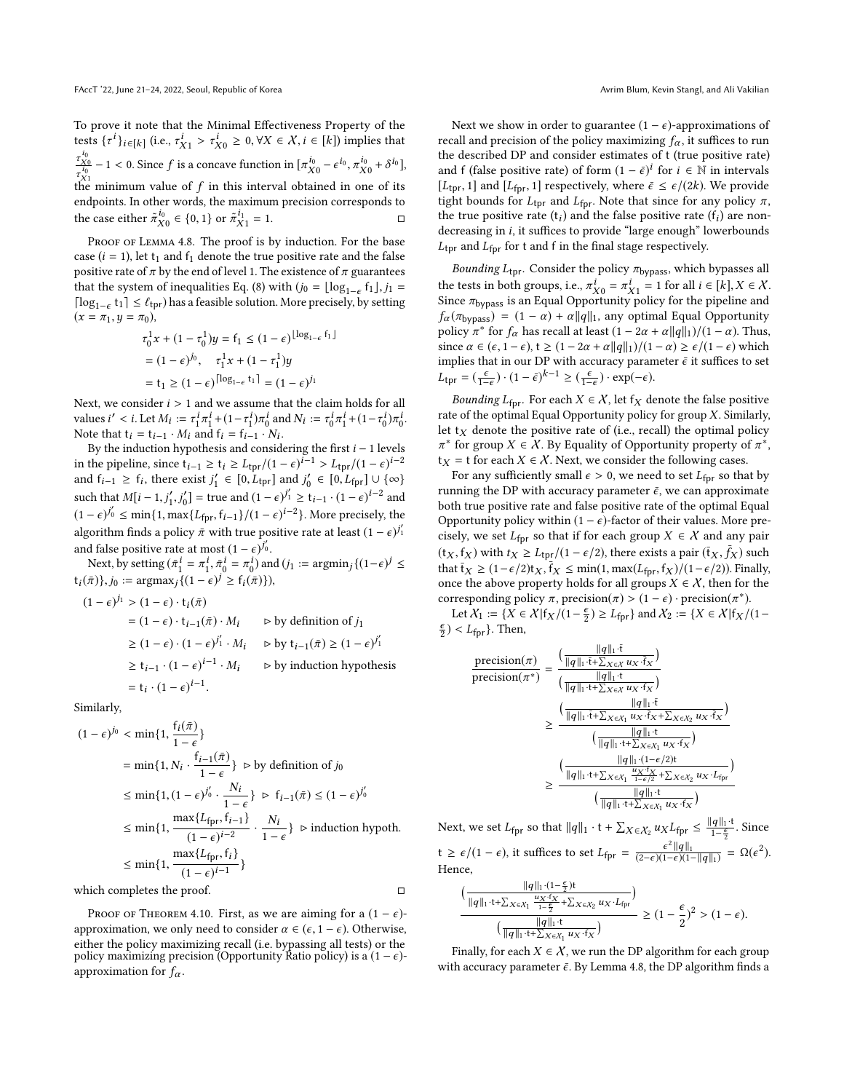To prove it note that the Minimal Effectiveness Property of the tests  $\{\tau^i\}_{i\in[k]}$  (i.e.,  $\tau^i_{X1} > \tau^i_{X0} \ge 0, \forall X \in \mathcal{X}, i \in [k]$ ) implies that  $\frac{\tau_{X0}^{i_0}}{\tau_{X1}^{i_0}} - 1 < 0$ . Since f is a concave function in  $[\pi_{X0}^{i_0} - \epsilon^{i_0}, \pi_{X0}^{i_0} + \delta^{i_0}],$  $\tau_{X_1}$ <br>the minimum value of f in this interval obtained in one of its<br>endpoints. In other words, the maximum precision corresponds to endpoints. In other words, the maximum precision corresponds to the case either  $\tilde{\pi}_{X0}^{i_0} \in \{0, 1\}$  or  $\tilde{\pi}_{X1}^{i_1} = 1$ .

PROOF OF LEMMA [4.8.](#page-8-4) The proof is by induction. For the base case ( $i = 1$ ), let t<sub>1</sub> and f<sub>1</sub> denote the true positive rate and the false positive rate of  $\pi$  by the end of level 1. The existence of  $\pi$  guarantees that the system of inequalities Eq. [\(8\)](#page-8-3) with  $(j_0 = \lfloor \log_{1-\epsilon} f_1 \rfloor, j_1 =$ <br> $\lfloor \log_{1-\epsilon} f_1 \rfloor, j_1 < j_2 \rfloor$ [log<sub>1−€</sub> t<sub>1</sub>] ≤  $\ell_{\text{tpr}}$ ) has a feasible solution. More precisely, by setting  $(x = \pi, u = \pi_0)$  $(x = \pi_1, y = \pi_0),$ 

$$
\tau_0^1 x + (1 - \tau_0^1) y = f_1 \le (1 - \epsilon)^{\lfloor \log_{1-\epsilon} f_1 \rfloor}
$$
  
=  $(1 - \epsilon)^{j_0}, \quad \tau_1^1 x + (1 - \tau_1^1) y$   
=  $t_1 \ge (1 - \epsilon)^{\lceil \log_{1-\epsilon} t_1 \rceil} = (1 - \epsilon)^{j_1}$ 

Next, we consider  $i > 1$  and we assume that the claim holds for all values  $i' < i$ . Let  $M_i := \tau_1^i \pi_1^i + (1 - \tau_1^i) \pi_0^i$  and  $N_i := \tau_0^i \pi_1^i + (1 - \tau_0^i) \pi_0^i$ .<br>Note that  $t_i = t_{i+1} \cdot M_i$  and  $f_i = f_{i+1} \cdot N_i$ . Note that  $t_i = t_{i-1} \cdot M_i$  and  $f_i = f_{i-1} \cdot N_i$ .<br>By the induction hypothesis and consider

By the induction hypothesis and considering the first  $i - 1$  levels in the pipeline, since  $t_{i-1} \ge t_i \ge L_{\text{tpr}}/(1 - \epsilon)^{i-1} > L_{\text{tpr}}/(1 - \epsilon)^{i-2}$ <br>and  $f_{i-1} > f_i$ , there exist  $i' \in [0, L_{i-1}]$  and  $i' \in [0, L_{i-1}] \cup \{ \infty \}$ and  $f_{i-1} \ge f_i$ , there exist  $j'_1 \in [0, L_{\text{fpr}}]$  and  $j'_0 \in [0, L_{\text{fpr}}] \cup \{\infty\}$ such that  $M[i - 1, j'_1, j'_0] =$  true and  $(1 - \epsilon)^{j'_1} \ge t_{i-1} \cdot (1 - \epsilon)^{i-2}$  and  $(1 - \epsilon)^{j_0'} \le \min\{1, \max\{L_{\text{fpr}}, f_{i-1}\}/(1 - \epsilon)^{i-2}\}\.$  More precisely, the algorithm finds a policy  $\bar{\pi}$  with true positive rate at least  $(1 - \epsilon)^{j'_1}$ and false positive rate at most  $(1 - \epsilon)^{j'_0}$ .<br>Next by setting  $(\bar{\pi}^i - \pi^i, \bar{\pi}^i - \pi^i)$  and

Next, by setting  $(\bar{\pi}_1^i = \pi_1^i, \bar{\pi}_0^i = \pi_0^i)$  and  $(i_1 := \text{argmin}_j \{ (1 - \epsilon)^j \leq \bar{\pi} \}$  $t_i(\bar{\pi})\}, j_0 := \operatorname{argmax}_j \{ (1 - \epsilon)^j \geq f_i(\bar{\pi}) \},$ 

$$
(1 - \epsilon)^{j_1} > (1 - \epsilon) \cdot t_i(\bar{\pi})
$$
  
=  $(1 - \epsilon) \cdot t_{i-1}(\bar{\pi}) \cdot M_i$  by definition of  $j_1$   
 $\geq (1 - \epsilon) \cdot (1 - \epsilon)^{j'_1} \cdot M_i$  by  $t_{i-1}(\bar{\pi}) \geq (1 - \epsilon)^{j'_1}$   
 $\geq t_{i-1} \cdot (1 - \epsilon)^{i-1} \cdot M_i$  by induction hypothesis  
=  $t_i \cdot (1 - \epsilon)^{i-1}$ .

Similarly,

$$
(1 - \epsilon)^{j_0} < \min\{1, \frac{f_i(\bar{\pi})}{1 - \epsilon}\}\n= \min\{1, N_i \cdot \frac{f_{i-1}(\bar{\pi})}{1 - \epsilon}\} \quad \text{by definition of } j_0
$$
\n
$$
\leq \min\{1, (1 - \epsilon)^{j'_0} \cdot \frac{N_i}{1 - \epsilon}\} \quad \text{by definition of } j_0
$$
\n
$$
\leq \min\{1, \frac{\max\{L_{\text{fpr}}, f_{i-1}\}}{(1 - \epsilon)^{i-2}} \cdot \frac{N_i}{1 - \epsilon}\} \quad \text{in induction hypoth.}
$$
\n
$$
\leq \min\{1, \frac{\max\{L_{\text{fpr}}, f_i\}}{(1 - \epsilon)^{i-1}}\}
$$
\n
$$
\text{which completes the proof.}
$$

PROOF OF THEOREM [4.10.](#page-8-5) First, as we are aiming for a  $(1 - \epsilon)$ approximation, we only need to consider  $\alpha \in (\epsilon, 1 - \epsilon)$ . Otherwise, either the policy maximizing recall (i.e. bypassing all tests) or the policy maximizing precision (Opportunity Ratio policy) is a  $(1 - \epsilon)$ approximation for  $f_{\alpha}$ .

Next we show in order to guarantee  $(1 - \epsilon)$ -approximations of recall and precision of the policy maximizing  $f_{\alpha}$ , it suffices to run the described DP and consider estimates of t (true positive rate) and f (false positive rate) of form  $(1 - \bar{\epsilon})^i$  for  $i \in \mathbb{N}$  in intervals<br>[*I*<sub>i</sub> 1] and [*I*<sub>i</sub> 1] respectively where  $\bar{\epsilon} \leq \epsilon/(2k)$  We provide [ $L_{\text{tpr}}, 1$ ] and [ $L_{\text{fpr}}, 1$ ] respectively, where  $\bar{\epsilon} \leq \epsilon/(2k)$ . We provide tight bounds for  $L_{\text{tpr}}$  and  $L_{\text{fpr}}$ . Note that since for any policy  $\pi$ , the true positive rate  $(t_i)$  and the false positive rate  $(t_i)$  are non-<br>decreasing in i. it suffices to provide "large enough" lowerbounds decreasing in i, it suffices to provide "large enough" lowerbounds  $L_{\text{tor}}$  and  $L_{\text{for}}$  for t and f in the final stage respectively.

Bounding  $L_{\text{tpr}}$ . Consider the policy  $\pi_{\text{bypass}}$ , which bypasses all the tests in both groups, i.e.,  $\pi_{X0}^i = \pi_{X1}^i = 1$  for all  $i \in [k], X \in X$ .<br>Since  $\pi_{\text{hynose}}$  is an Equal Opportunity policy for the pipeline and Since  $\pi_{\text{bypass}}$  is an Equal Opportunity policy for the pipeline and  $f_{\alpha}(\pi_{\text{bypass}}) = (1 - \alpha) + \alpha ||q||_1$ , any optimal Equal Opportunity policy  $\pi^*$  for  $f_\alpha$  has recall at least  $(1 - 2\alpha + \alpha ||q||_1)/(1 - \alpha)$ . Thus,<br>since  $\alpha \in (s, 1-\epsilon)$ ,  $t > (1-2\alpha + \alpha ||q||_1)/(1 - \alpha) > \epsilon/(1-\epsilon)$ , which since  $\alpha \in (\epsilon, 1 - \epsilon)$ ,  $t \geq (1 - 2\alpha + \alpha ||q||_1)/(1 - \alpha) \geq \epsilon/(1 - \epsilon)$  which implies that in our DP with accuracy parameter  $\bar{\epsilon}$  it suffices to set  $L_{\text{tpr}} = \left(\frac{\epsilon}{1-\epsilon}\right) \cdot (1-\bar{\epsilon})^{k-1} \geq \left(\frac{\epsilon}{1-\epsilon}\right) \cdot \exp(-\epsilon).$ 

Bounding  $L_{\text{fpr}}$ . For each  $X \in \mathcal{X}$ , let  $f_X$  denote the false positive rate of the optimal Equal Opportunity policy for group  $X$ . Similarly, let  $t_X$  denote the positive rate of (i.e., recall) the optimal policy  $\mathbf{t}_X = \mathbf{t}$  for each  $X \in \mathcal{X}$ . Next, we consider the following cases.<br>For any sufficiently small  $\epsilon > 0$ , we need to set Le so the \* for group  $X \in X$ . By Equality of Opportunity property of  $\pi^*$ ,

For any sufficiently small  $\epsilon > 0$ , we need to set  $L_{\text{for}}$  so that by running the DP with accuracy parameter  $\bar{\epsilon}$ , we can approximate both true positive rate and false positive rate of the optimal Equal Opportunity policy within  $(1 - \epsilon)$ -factor of their values. More precisely, we set  $L_{\text{fpr}}$  so that if for each group  $X \in \mathcal{X}$  and any pair  $(\mathfrak{t}_X, \mathfrak{f}_X)$  with  $\mathfrak{t}_X \geq L_{\text{tpr}}/(1 - \epsilon/2)$ , there exists a pair  $(\mathfrak{t}_X, \mathfrak{f}_X)$  such that  $\mathfrak{t}_Y > (1 - \epsilon/2)\mathfrak{t}_Y$ .  $\mathfrak{t}_Y \leq \min(1, \max(1 - \epsilon/2))$ . Finally that  $\overline{t}_X \geq (1 - \epsilon/2)t_X, \overline{t}_X \leq \min(1, \max(L_{\text{fpr}}, f_X)/(1 - \epsilon/2))$ . Finally,<br>once the above property holds for all groups  $X \in X$  then for the once the above property holds for all groups  $X \in \mathcal{X}$  , then for the corresponding policy  $\pi$ , precision( $\pi$ ) > (1 –  $\epsilon$ ) · precision( $\pi$ <sup>\*</sup>).<br>Let  $X_i := IX \in X | f_{X_i}/(1 - \xi) > I \epsilon$ , l and  $X_2 := IX \in X | f_{X_i}/(1 - \xi)$ 

Let  $X_1 := \{X \in \mathcal{X} | f_X / (1 - \frac{\epsilon}{2}) \ge L_{\text{fpr}} \}$  and  $X_2 := \{X \in \mathcal{X} | f_X / (1 - \epsilon) \}$  $\frac{\epsilon}{2}$ ) < L<sub>fpr</sub>}. Then,

$$
\frac{\text{precision}(\pi)}{\text{precision}(\pi^*)} = \frac{\left(\frac{\|q\|_1 \cdot \overline{t}}{\|q\|_1 \cdot \overline{t} + \sum_{X \in \mathcal{X}} u_X \cdot \overline{f}_X}\right)}{\left(\frac{\|q\|_1 \cdot t}{\|q\|_1 \cdot t + \sum_{X \in \mathcal{X}} u_X \cdot \overline{f}_X}\right)} \\
\geq \frac{\left(\frac{\|q\|_1 \cdot \overline{t}}{\|q\|_1 \cdot \overline{t} + \sum_{X \in \mathcal{X}_1} u_X \cdot \overline{f}_X + \sum_{X \in \mathcal{X}_2} u_X \cdot \overline{f}_X}\right)}{\left(\frac{\|q\|_1 \cdot t}{\|q\|_1 \cdot t + \sum_{X \in \mathcal{X}_1} u_X \cdot \overline{f}_X}\right)} \\
\geq \frac{\left(\frac{\|q\|_1 \cdot t}{\|q\|_1 \cdot t + \sum_{X \in \mathcal{X}_1} u_X \cdot \overline{f}_X}\right)}{\left(\frac{\|q\|_1 \cdot (1 - \epsilon/2)t}{\|q\|_1 \cdot t + \sum_{X \in \mathcal{X}_1} u_X \cdot \overline{f}_X}\right)}\right)} \\
\geq \frac{\left(\frac{\|q\|_1 \cdot t}{\|q\|_1 \cdot t + \sum_{X \in \mathcal{X}_1} u_X \cdot \overline{f}_X}\right)}{\left(\frac{\|q\|_1 \cdot t}{\|q\|_1 \cdot t + \sum_{X \in \mathcal{X}_1} u_X \cdot \overline{f}_X}\right)}
$$

Next, we set  $L_{\text{fpr}}$  so that  $||q||_1 \cdot t + \sum_{X \in \mathcal{X}_2} u_X L_{\text{fpr}} \le \frac{||q||_1 \cdot t}{1 - \frac{\epsilon}{2}}$ . Since  $t \geq \epsilon/(1-\epsilon)$ , it suffices to set  $L_{\text{fpr}} = \frac{\epsilon}{(2-\epsilon)(1-\epsilon)}$  $\frac{\epsilon^2 ||q||_1}{(2-\epsilon)(1-\epsilon)(1-||q||_1)} = \Omega(\epsilon^2).$ Hence,

$$
\frac{\big(\frac{\|q\|_1\cdot(1-\frac{\epsilon}{2})t}{\|q\|_1\cdot t+\sum_{X\in X_1}\frac{u_X\cdot f_X}{1-\frac{\epsilon}{2}}+\sum_{X\in X_2}u_X\cdot L_{\text{fpr}}}\big)}{\big(\frac{\|q\|_1\cdot t}{\|q\|_1\cdot t+\sum_{X\in X_1}u_X\cdot f_X}\big)}\geq \big(1-\frac{\epsilon}{2}\big)^2>(1-\epsilon).
$$

Finally, for each  $X \in \mathcal{X}$ , we run the DP algorithm for each group with accuracy parameter  $\bar{\epsilon}$ . By Lemma [4.8,](#page-8-4) the DP algorithm finds a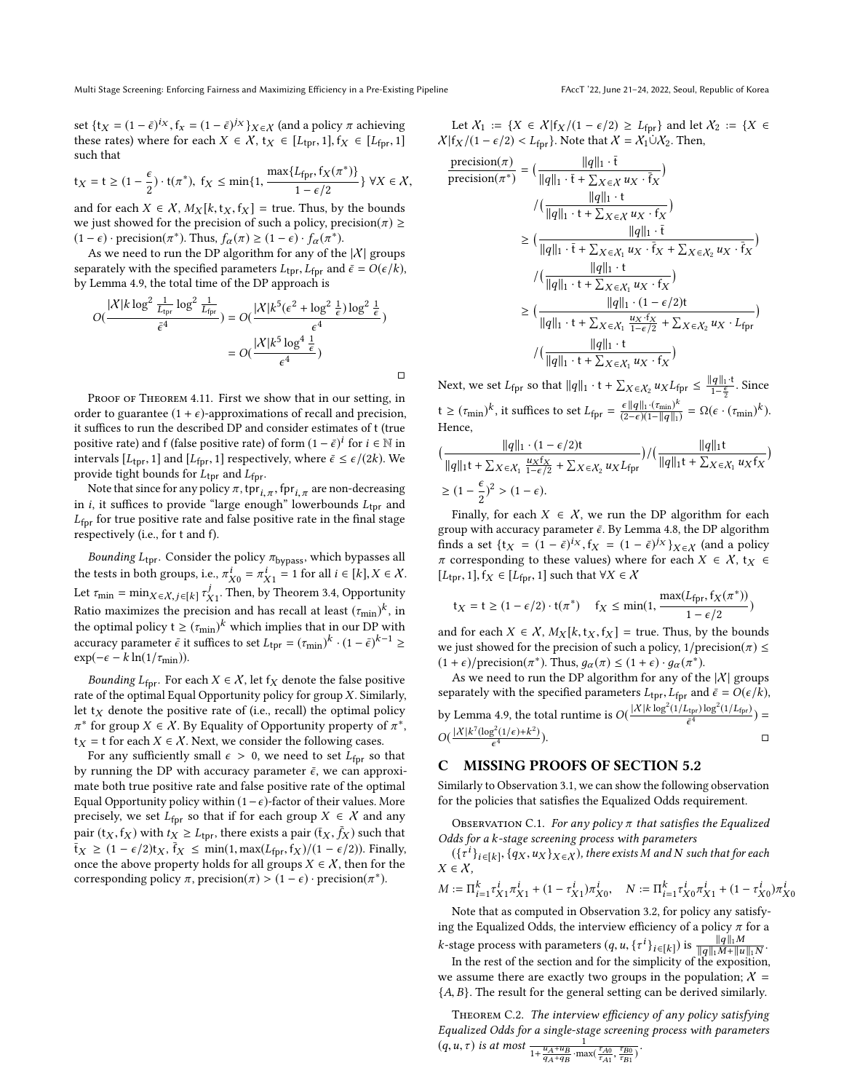set {t<sub>X</sub> =  $(1 - \bar{\epsilon})^{ix}$ , f<sub>x</sub> =  $(1 - \bar{\epsilon})^{jx}$ } $_{X \in X}$  (and a policy  $\pi$  achieving<br>these rates) where for each  $X \in X$ , ty  $\in [I_{i-1}]$ , fy  $\in [I_{i-1}]$ these rates) where for each  $X \in \mathcal{X}$ ,  $t_X \in [L_{\text{tor}}, 1]$ ,  $f_X \in [L_{\text{for}}, 1]$ such that

$$
t_X = t \ge (1 - \frac{\epsilon}{2}) \cdot t(\pi^*), f_X \le \min\{1, \frac{\max\{L_{\text{fpr}}, f_X(\pi^*)\}}{1 - \epsilon/2}\} \forall X \in \mathcal{X},
$$

and for each  $X \in \mathcal{X}$ ,  $M_X[k, t_X, t_X] = \text{true}$ . Thus, by the bounds we just showed for the precision of such a policy, precision( $\pi$ ) ≥ (1 −  $\epsilon$ ) · precision( $\pi^*$ ). Thus,  $f_\alpha(\pi) \geq (1 - \epsilon) \cdot f_\alpha(\pi^*)$ .<br>As we need to run the DP algorithm for any of the

As we need to run the DP algorithm for any of the  $|X|$  groups separately with the specified parameters  $L_{\text{tpr}}, L_{\text{fpr}}$  and  $\bar{\epsilon} = O(\epsilon/k)$ , by Lemma [4.9,](#page-8-7) the total time of the DP approach is

$$
O(\frac{|X|k \log^2 \frac{1}{L_{\text{tpr}}}\log^2 \frac{1}{L_{\text{fpr}}}}{\epsilon^4}) = O(\frac{|X|k^5(\epsilon^2 + \log^2 \frac{1}{\epsilon})\log^2 \frac{1}{\epsilon}}{\epsilon^4})
$$

$$
= O(\frac{|X|k^5 \log^4 \frac{1}{\epsilon}}{\epsilon^4})
$$

□

PROOF OF THEOREM [4.11.](#page-8-6) First we show that in our setting, in order to guarantee  $(1 + \epsilon)$ -approximations of recall and precision, it suffices to run the described DP and consider estimates of t (true positive rate) and f (false positive rate) of form  $(1 - \bar{\epsilon})^i$  for  $i \in \mathbb{N}$  in<br>intervals  $[I_1, 1]$  and  $[I_{\epsilon}, 1]$  respectively, where  $\bar{\epsilon} \leq \epsilon/(2k)$ . We intervals [ $L_{\text{tpr}}$ , 1] and [ $L_{\text{fpr}}$ , 1] respectively, where  $\bar{\epsilon} \leq \epsilon/(2k)$ . We provide tight bounds for  $L_{\text{tpr}}$  and  $L_{\text{fpr}}$ .

Note that since for any policy  $\pi$ ,  $\text{tpr}_{i,\pi}$ ,  $\text{fpr}_{i,\pi}$  are non-decreasing  $i$  it suffices to provide "large enough" lowerbounds  $I_{\text{true}}$  and in *i*, it suffices to provide "large enough" lowerbounds  $L_{\text{tor}}$  and  $L_{\text{fpr}}$  for true positive rate and false positive rate in the final stage respectively (i.e., for t and f).

Bounding  $L_{\text{tpr}}$ . Consider the policy  $\pi_{\text{bypass}}$ , which bypasses all the tests in both groups, i.e.,  $\pi_{X0}^i = \pi_{X1}^i = 1$  for all  $i \in [k], X \in \mathcal{X}$ .<br>Let  $\pi_{X} = \min_{\pi}$   $\pi_{X}^j$  Then by Theorem 3.4 Opportunity. Let  $\tau_{\min} = \min_{X \in \mathcal{X}, j \in [k]} \tau_{X_1}^j$ . Then, by Theorem [3.4,](#page-4-2) Opportunity<br>Patio maximizes the precision and has recall at least  $(\tau, \cdot)^k$  in Ratio maximizes the precision and has recall at least  $(\tau_{min})^k$ , in<br>the optimal policy  $t > (\tau_{min})^k$ , which implies that in our DP with the optimal policy  $t \ge (\tau_{min})^k$  which implies that in our DP with accuracy parameter  $\bar{\epsilon}$  it suffices to set  $I_{\epsilon} = (\tau_{\epsilon})^k (1 - \bar{\epsilon})^{k-1}$  $\arctan \epsilon$  is suffices to set  $L_{\text{tpr}} = (\tau_{\text{min}})^k \cdot (1 - \bar{\epsilon})^{k-1} \ge$ <br> $\arctan(-\epsilon - k \ln(1/\tau + \epsilon))$  $\exp(-\epsilon - k \ln(1/\tau_{\min}))$ .

Bounding  $L_{\text{fpr}}$ . For each  $X \in \mathcal{X}$ , let  $f_X$  denote the false positive rate of the optimal Equal Opportunity policy for group  $X$ . Similarly, let  $t_X$  denote the positive rate of (i.e., recall) the optimal policy  $\mathbf{t}_X = \mathbf{t}$  for each  $X \in \mathcal{X}$ . Next, we consider the following cases.<br>For any sufficiently small  $\epsilon > 0$ , we need to set  $I\epsilon$ , so \* for group  $X \in \mathcal{X}$ . By Equality of Opportunity property of  $\pi^*$ ,  $\pi^*$ ,  $\pi^*$  to the following cases

For any sufficiently small  $\epsilon > 0$ , we need to set  $L_{\text{fpr}}$  so that by running the DP with accuracy parameter  $\bar{\epsilon}$ , we can approximate both true positive rate and false positive rate of the optimal Equal Opportunity policy within (1 –  $\epsilon$ )-factor of their values. More precisely, we set  $L_{\text{fpr}}$  so that if for each group  $X \in \mathcal{X}$  and any pair  $(t_X, f_X)$  with  $t_X \ge L_{\text{tpr}}$ , there exists a pair  $(\bar{t}_X, \bar{f}_X)$  such that  $\overline{f}_X \geq (1 - \epsilon/2)t_X$ ,  $\overline{f}_X \leq \min(1, \max(L_{\text{fpr}}, f_X)/(1 - \epsilon/2))$ . Finally,<br>once the above property holds for all groups  $Y \in X$ , then for the once the above property holds for all groups  $X \in \mathcal{X}$ , then for the corresponding policy  $\pi$ , precision( $\pi$ ) > (1 –  $\epsilon$ ) · precision( $\pi$ <sup>\*</sup>).

Let  $X_1 := \{X \in \mathcal{X} | f_X/(1 - \epsilon/2) \ge L_{\text{fpr}}\}\$  and let  $X_2 := \{X \in \mathcal{X} | f_X/(1 - \epsilon/2) \ge L_{\text{fpr}}\}\$  $\chi$ |f<sub>X</sub> /(1 –  $\epsilon$ /2) < L<sub>fpr</sub>}. Note that  $\chi = \chi_1 \dot{\cup} \chi_2$ . Then,

$$
\begin{split} \frac{\text{precision}(\pi)}{\text{precision}(\pi^*)} &= \left(\frac{\|q\|_1 \cdot \overline{t}}{\|q\|_1 \cdot \overline{t} + \sum_{X \in \mathcal{X}} u_X \cdot \overline{f}_X}\right) \\ &\quad \qquad / \left(\frac{\|q\|_1 \cdot t}{\|q\|_1 \cdot t + \sum_{X \in \mathcal{X}} u_X \cdot f_X}\right) \\ &\geq \left(\frac{\|q\|_1 \cdot \overline{t}}{\|q\|_1 \cdot \overline{t} + \sum_{X \in \mathcal{X}_1} u_X \cdot \overline{f}_X + \sum_{X \in \mathcal{X}_2} u_X \cdot \overline{f}_X}\right) \\ &\quad / \left(\frac{\|q\|_1 \cdot t}{\|q\|_1 \cdot t + \sum_{X \in \mathcal{X}_1} u_X \cdot f_X}\right) \\ &\geq \left(\frac{\|q\|_1 \cdot t}{\|q\|_1 \cdot t + \sum_{X \in \mathcal{X}_1} \frac{u_X \cdot f_X}{1 - \epsilon/2} + \sum_{X \in \mathcal{X}_2} u_X \cdot L_{\text{fpr}}}\right) \\ &\quad / \left(\frac{\|q\|_1 \cdot t}{\|q\|_1 \cdot t + \sum_{X \in \mathcal{X}_1} \frac{u_X \cdot f_X}{1 - \epsilon/2} + \sum_{X \in \mathcal{X}_2} u_X \cdot L_{\text{fpr}}}\right) \\ &\quad / \left(\frac{\|q\|_1 \cdot t}{\|q\|_1 \cdot t + \sum_{X \in \mathcal{X}_1} u_X \cdot f_X}\right) \end{split}
$$

Next, we set  $L_{\text{fpr}}$  so that  $||q||_1 \cdot t + \sum_{X \in \mathcal{X}_2} u_X L_{\text{fpr}} \le \frac{||q||_1 \cdot t}{1 - \frac{\epsilon}{2}}$ . Since t  $\geq (\tau_{\text{min}})^k$ , it suffices to set  $L_{\text{fpr}} = \frac{\epsilon ||q||_1 \cdot (\tau_{\text{min}})^k}{(2-\epsilon)(1 - ||q||_1)} = \Omega(\epsilon \cdot (\tau_{\text{min}})^k)$ .<br>Hence Hence,

$$
\begin{aligned}&\big(\frac{\|q\|_1\cdot(1-\epsilon/2){\mathfrak{t}}}{\|q\|_1{\mathfrak{t}}+\sum_{X\in X_1}\frac{u_X{\mathfrak{f}}_X}{1-\epsilon/2}+\sum_{X\in X_2}u_XL_{{\mathfrak{f}}{\mathfrak{p}}r}\big)}/\big(\frac{\|q\|_1{\mathfrak{t}}}{\|q\|_1{\mathfrak{t}}+\sum_{X\in X_1}u_X{\mathfrak{f}}_X}\big)\\&\geq (1-\frac{\epsilon}{2})^2>(1-\epsilon).\end{aligned}
$$

Finally, for each  $X \in \mathcal{X}$ , we run the DP algorithm for each group with accuracy parameter  $\bar{\epsilon}$ . By Lemma [4.8,](#page-8-4) the DP algorithm finds a set  $\{tx = (1 - \bar{\epsilon})^{ix}, fx = (1 - \bar{\epsilon})^{jx}\}_{X \in \mathcal{X}}$  (and a policy  $\pi$  corresponding to these values) where for each  $X \in \mathcal{X}$  ty  $\epsilon$  $\pi$  corresponding to these values) where for each  $X \in \mathcal{X}$ ,  $t_X \in$  $[L_{\text{tpr}}, 1], f_X \in [L_{\text{fpr}}, 1]$  such that  $\forall X \in \mathcal{X}$ 

$$
t_X = t \ge (1 - \epsilon/2) \cdot t(\pi^*) \quad f_X \le \min(1, \frac{\max(L_{\text{fpr}}, f_X(\pi^*))}{1 - \epsilon/2})
$$

and for each  $X \in \mathcal{X}$ ,  $M_X[k, t_X, t_X] = \text{true}$ . Thus, by the bounds we just showed for the precision of such a policy,  $1/\text{precision}(\pi) \le$  $(1 + \epsilon)$ /precision( $\pi^*$ ). Thus,  $g_\alpha(\pi) \leq (1 + \epsilon) \cdot g_\alpha(\pi^*)$ .<br>As we need to run the DP algorithm for any of the

As we need to run the DP algorithm for any of the  $|X|$  groups separately with the specified parameters  $L_{\text{tpr}}$ ,  $L_{\text{fpr}}$  and  $\bar{\epsilon} = O(\epsilon/k)$ , by Lemma [4.9,](#page-8-7) the total runtime is  $O(\frac{|X| k \log^2(1/L_{\text{tpr}}) \log^2(1/L_{\text{fpr}})}{\epsilon^4})$  $\frac{1}{\bar{\epsilon}^4}$  =  $\frac{1}{\bar{\epsilon}^4}$  =  $\frac{1}{\bar{\epsilon}^4}$  =  $\frac{1}{\bar{\epsilon}^4}$  =  $\frac{1}{\bar{\epsilon}^4}$  =  $\frac{1}{\bar{\epsilon}^4}$  =  $\frac{1}{\bar{\epsilon}^4}$  =  $\frac{1}{\bar{\epsilon}^4}$  =  $\frac{1}{\bar{\epsilon}^4}$  =  $\frac{1}{\bar{\epsilon}^4}$  =  $\frac{1}{\bar{\epsilon}^4}$  =  $\frac{1}{\bar{\epsilon}^4}$  =  $\frac{1$  $O\left(\frac{|\mathcal{X}| k^7 (\log^2(1/\epsilon) + k^2)}{\epsilon^4}\right)$  $\Box$ 

### C MISSING PROOFS OF SECTION [5.2](#page-9-15)

Similarly to Observation [3.1,](#page-3-4) we can show the following observation for the policies that satisfies the Equalized Odds requirement.

OBSERVATION C.1. For any policy  $\pi$  that satisfies the Equalized Odds for a k-stage screening process with parameters

 $(\{\tau^i\}_{i\in[k]}, \{q_X, u_X\}_{X\in\mathcal{X}})$ , there exists M and N such that for each  $\in X$  $X \in \mathcal{X}$ ,

$$
M:=\Pi_{i=1}^k\tau_{X1}^i\pi_{X1}^i+(1-\tau_{X1}^i)\pi_{X0}^i,\quad N:=\Pi_{i=1}^k\tau_{X0}^i\pi_{X1}^i+(1-\tau_{X0}^i)\pi_{X0}^i
$$

Note that as computed in Observation [3.2,](#page-3-5) for policy any satisfying the Equalized Odds, the interview efficiency of a policy  $\pi$  for a k-stage process with parameters  $(q, u, \{t^i\}_{i \in [k]})$  is  $\frac{\|q\|_1 M}{\|q\|_1 M + \|u\|_1}$  $\frac{\|q\|_1 M}{\|q\|_1 M + \|u\|_1 N}.$  the exposition

In the rest of the section and for the simplicity of the exposition, we assume there are exactly two groups in the population;  $X =$  ${A, B}$ . The result for the general setting can be derived similarly.

<span id="page-12-0"></span>Theorem C.2. The interview efficiency of any policy satisfying Equalized Odds for a single-stage screening process with parameters<br>  $(q, u, \tau)$  is at most  $\frac{u_A + u_B}{1 + \frac{u_A + u_B}{q_A + q_B} \cdot \max(\frac{\tau_{A0}}{\tau_{A1}}, \frac{\tau_{B0}}{\tau_{B1}})}.$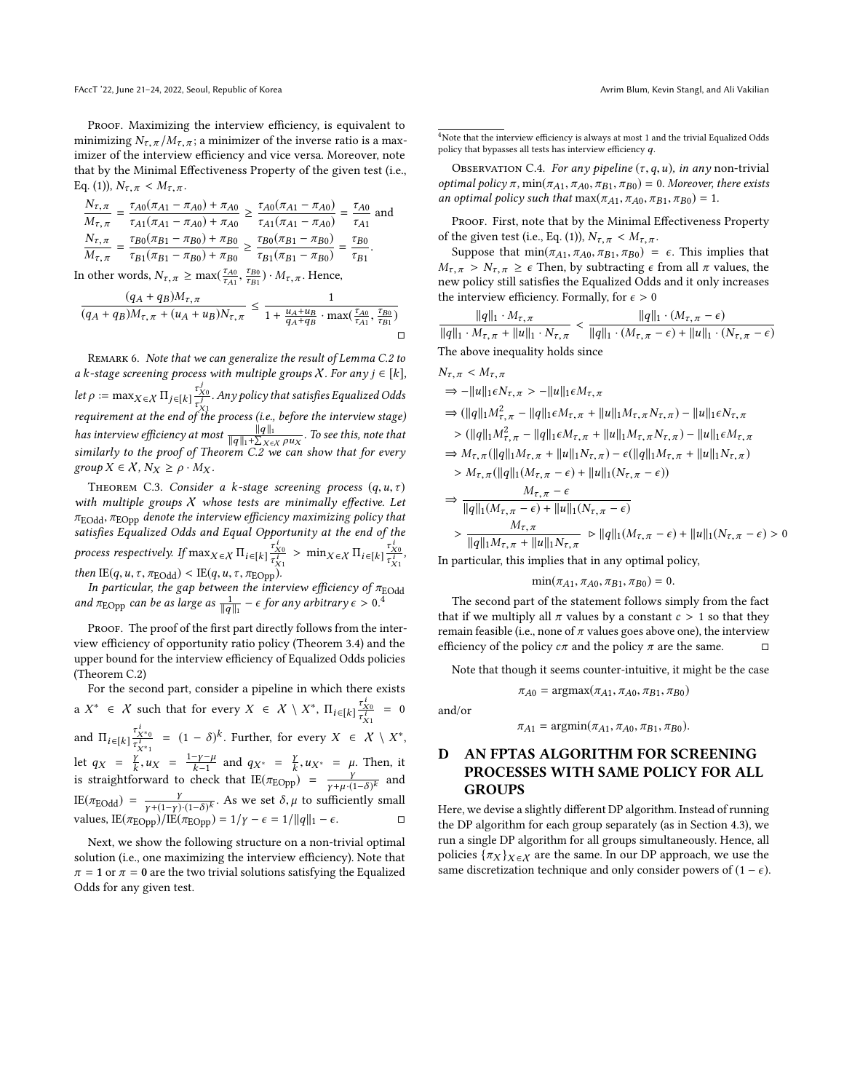PROOF. Maximizing the interview efficiency, is equivalent to minimizing  $N_{\tau,\pi}/M_{\tau,\pi}$ ; a minimizer of the inverse ratio is a maximizer of the interview efficiency and vice versa. Moreover, note that by the Minimal Effectiveness Property of the given test (i.e., Eq. [\(1\)](#page-2-2)),  $N_{\tau,\pi} < M_{\tau,\pi}$ .

$$
\frac{N_{\tau,\pi}}{M_{\tau,\pi}} = \frac{\tau_{A0}(\pi_{A1} - \pi_{A0}) + \pi_{A0}}{\tau_{A1}(\pi_{A1} - \pi_{A0}) + \pi_{A0}} \ge \frac{\tau_{A0}(\pi_{A1} - \pi_{A0})}{\tau_{A1}(\pi_{A1} - \pi_{A0})} = \frac{\tau_{A0}}{\tau_{A1}}
$$
 and  
\n
$$
\frac{N_{\tau,\pi}}{M_{\tau,\pi}} = \frac{\tau_{B0}(\pi_{B1} - \pi_{B0}) + \pi_{B0}}{\tau_{B1}(\pi_{B1} - \pi_{B0}) + \pi_{B0}} \ge \frac{\tau_{B0}(\pi_{B1} - \pi_{B0})}{\tau_{B1}(\pi_{B1} - \pi_{B0})} = \frac{\tau_{B0}}{\tau_{B1}}.
$$

In other words,  $N_{\tau, \pi} \ge \max(\frac{\tau_{A0}}{\tau_{A1}}, \frac{\tau_{B0}}{\tau_{B1}}) \cdot M_{\tau, \pi}$ . Hence,

$$
\frac{(q_A + q_B)M_{\tau,\pi}}{(q_A + q_B)M_{\tau,\pi} + (u_A + u_B)N_{\tau,\pi}} \le \frac{1}{1 + \frac{u_A + u_B}{q_A + q_B} \cdot \max(\frac{\tau_{A0}}{\tau_{A1}}, \frac{\tau_{B0}}{\tau_{B1}})} \square
$$

REMARK 6. Note that we can generalize the result of Lemma [C.2](#page-12-0) to a k-stage screening process with multiple groups  $X$ . For any  $j \in [k]$ , *let*  $\rho := \max_{X \in \mathcal{X}} \prod_{j \in [k]} \frac{\tau_{X0}^y}{\tau_{X1}^y}$  $\tau_{X1}^{\prime} \ \epsilon_{H}$ . Any policy that satisfies Equalized Odds requirement at the end of the process (i.e., before the interview stage) has interview efficiency at most  $\frac{\|q\|_1}{\|q\|_1 + \sum_{k=1}^n q_k}$  $\frac{\|q\|_1}{\|q\|_1 + \sum_{X \in \mathcal{X}} \rho u_X}$ . To see this, note that  $\frac{\|q\|_1 + \sum_{X \in \mathcal{X}} \rho u_X}{\rho}$  can show that for every similarly to the proof of Theorem [C.2](#page-12-0) we can show that for every group  $X \in \mathcal{X}$ ,  $N_X \ge \rho \cdot M_X$ .

<span id="page-13-1"></span>THEOREM C.3. Consider a k-stage screening process  $(q, u, \tau)$ with multiple groups  $X$  whose tests are minimally effective. Let  $\pi_{\text{EOdd}}$ ,  $\pi_{\text{EOpp}}$  denote the interview efficiency maximizing policy that π<sub>EOdd</sub>, π<sub>EOpp</sub> denote the interview efficiency maximizing policy that<br>satisfies Equalized Odds and Equal Opportunity at the end of the *process respectively.* If  $\max_{X \in \mathcal{X}} \prod_{i \in [k]} \frac{\tau_{X0}^i}{\tau_{X1}^i}$  $\frac{\tau_{X0}^i}{\tau_{X1}^i}$  > min<sub>X  $\in$ </sub>  $\prod_{i \in [k]} \frac{\tau_{X0}^i}{\tau_{X1}^i}$ then  $\mathbb{E}(q, u, \tau, \pi_{\text{EOdd}}) < \mathbb{E}(q, u, \tau, \pi_{\text{EOpp}})$ .<br>
In particular, the san between the interview efficiency of  $\tau_{\text{EOM}}$ .  $rac{\tau_{X0}^i}{\tau_{X1}^i},$ 

In particular, the gap between the interview efficiency of  $\pi_{\text{EOdd}}$ <br>and  $\pi_{\text{EOpp}}$  can be as large as  $\frac{1}{\|q\|_1} - \epsilon$  for any arbitrary  $\epsilon > 0.4$  $\epsilon > 0.4$ 

PROOF. The proof of the first part directly follows from the interview efficiency of opportunity ratio policy (Theorem [3.4\)](#page-4-2) and the upper bound for the interview efficiency of Equalized Odds policies (Theorem [C.2\)](#page-12-0)

For the second part, consider a pipeline in which there exists a  $X^* \in X$  such that for every  $X \in X \setminus X^*$ ,  $\Pi_{i \in [k]} \frac{\tau_{X0}^*}{\tau_{X1}^i}$ and  $\Pi_{i \in [k]} \frac{\tau_{X^*0}^i}{\tau_{X^*1}^i} = (1 - \delta)^k$ . Further, for every  $X \in X \setminus X^*$ ,  $= 0$ let  $q_X = \frac{Y}{k}$ ,  $u$  $\frac{\gamma}{k}$ ,  $u_X = \frac{1-\gamma-\mu}{k-1}$  $\frac{-\gamma - \mu}{k-1}$  and  $q_{X^*} = \frac{\gamma}{k}$ <br>theck that IF( $\pi_{\text{D}}$  $\frac{\gamma}{k}, u_{X^*} = \mu$ . Then, it is straightforward to check that  $\mathbb{E}(\pi_{\text{EOpp}}) = \frac{\gamma}{\gamma + \mu \cdot (1-\delta)^k}$  and IE(π<sub>EOdd</sub>) =  $\frac{\gamma}{\gamma + (1-\gamma)(1-\delta)^k}$ . As we set δ, μ to sufficiently small<br>values IE(προ)/IE(προ) = 1/*v* = ε = 1/llαll = ε values, IE( $\pi_{\rm EOpp}$ )/IE( $\pi_{\rm EOpp}$ ) = 1/ $\gamma - \epsilon = 1/||q||_1 - \epsilon$ .

Next, we show the following structure on a non-trivial optimal solution (i.e., one maximizing the interview efficiency). Note that  $\pi = 1$  or  $\pi = 0$  are the two trivial solutions satisfying the Equalized Odds for any given test.

<span id="page-13-2"></span><sup>4</sup>Note that the interview efficiency is always at most 1 and the trivial Equalized Odds policy that bypasses all tests has interview efficiency q.

OBSERVATION C.4. For any pipeline  $(\tau, q, u)$ , in any non-trivial optimal policy π, min( $π_{A1}$ ,  $π_{A0}$ ,  $π_{B1}$ ,  $π_{B0}$ ) = 0. Moreover, there exists an optimal policy such that  $\max(\pi_{A1}, \pi_{A0}, \pi_{B1}, \pi_{B0}) = 1$ .

PROOF. First, note that by the Minimal Effectiveness Property of the given test (i.e., Eq. [\(1\)](#page-2-2)),  $N_{\tau,\pi} < M_{\tau,\pi}$ .

Suppose that  $\min(\pi_{A1}, \pi_{A0}, \pi_{B1}, \pi_{B0}) = \epsilon$ . This implies that  $M_{\tau,\pi} > N_{\tau,\pi} \geq \epsilon$  Then, by subtracting  $\epsilon$  from all  $\pi$  values, the new policy still satisfies the Equalized Odds and it only increases the interview efficiency. Formally, for  $\epsilon > 0$ 

 $||q||_1 \cdot M_{\tau,\pi}$  $||q||_1 \cdot M_{\tau,\pi}$ <br>  $||q||_1 \cdot M_{\tau,\pi} + ||u||_1 \cdot N_{\tau,\pi}   
 ||q||_1 \cdot (M_{\tau,\pi} - \epsilon) + ||u||_1 \cdot (M_{\tau,\pi} - \epsilon)$  $||q||_1 \cdot (M_{\tau,\pi} - \epsilon) + ||u||_1 \cdot (N_{\tau,\pi} - \epsilon)$ The above inequality holds since

$$
N_{\tau,\pi} < M_{\tau,\pi}
$$
\n
$$
\Rightarrow -||u||_1 \epsilon N_{\tau,\pi} > -||u||_1 \epsilon M_{\tau,\pi}
$$
\n
$$
\Rightarrow (||q||_1 M_{\tau,\pi}^2 - ||q||_1 \epsilon M_{\tau,\pi} + ||u||_1 M_{\tau,\pi} N_{\tau,\pi}) - ||u||_1 \epsilon N_{\tau,\pi}
$$
\n
$$
> (||q||_1 M_{\tau,\pi}^2 - ||q||_1 \epsilon M_{\tau,\pi} + ||u||_1 M_{\tau,\pi} N_{\tau,\pi}) - ||u||_1 \epsilon M_{\tau,\pi}
$$
\n
$$
\Rightarrow M_{\tau,\pi} (||q||_1 M_{\tau,\pi} + ||u||_1 N_{\tau,\pi}) - \epsilon (||q||_1 M_{\tau,\pi} + ||u||_1 N_{\tau,\pi})
$$
\n
$$
> M_{\tau,\pi} (||q||_1 (M_{\tau,\pi} - \epsilon) + ||u||_1 (N_{\tau,\pi} - \epsilon))
$$
\n
$$
\Rightarrow \frac{M_{\tau,\pi} - \epsilon}{||q||_1 (M_{\tau,\pi} - \epsilon) + ||u||_1 (N_{\tau,\pi} - \epsilon)}
$$
\n
$$
> \frac{M_{\tau,\pi}}{||q||_1 M_{\tau,\pi} + ||u||_1 N_{\tau,\pi}} \approx ||q||_1 (M_{\tau,\pi} - \epsilon) + ||u||_1 (N_{\tau,\pi} - \epsilon) > 0
$$
\nIn particular, this implies that in any optimal policy.

$$
\min(\pi_{A1}, \pi_{A0}, \pi_{B1}, \pi_{B0}) = 0.
$$

 $\min(\pi_{A1}, \pi_{A0}, \pi_{B1}, \pi_{B0}) = 0.$ <br>The second part of the statement follows simply from the fact that if we multiply all  $\pi$  values by a constant  $c > 1$  so that they remain feasible (i.e., none of π values goes above one), the interview efficiency of the policy  $\sigma$  and the policy π are the same. efficiency of the policy  $c\pi$  and the policy  $\pi$  are the same.

Note that though it seems counter-intuitive, it might be the case

$$
\pi_{A0} = \text{argmax}(\pi_{A1}, \pi_{A0}, \pi_{B1}, \pi_{B0})
$$

and/or

$$
\pi_{A1} = \mathrm{argmin}(\pi_{A1}, \pi_{A0}, \pi_{B1}, \pi_{B0}).
$$

# <span id="page-13-0"></span>D AN FPTAS ALGORITHM FOR SCREENING PROCESSES WITH SAME POLICY FOR ALL GROUPS

Here, we devise a slightly different DP algorithm. Instead of running the DP algorithm for each group separately (as in Section [4.3\)](#page-7-0), we run a single DP algorithm for all groups simultaneously. Hence, all policies  $\{\pi_X\}_{X \in \mathcal{X}}$  are the same. In our DP approach, we use the same discretization technique and only consider powers of  $(1 - \epsilon)$ .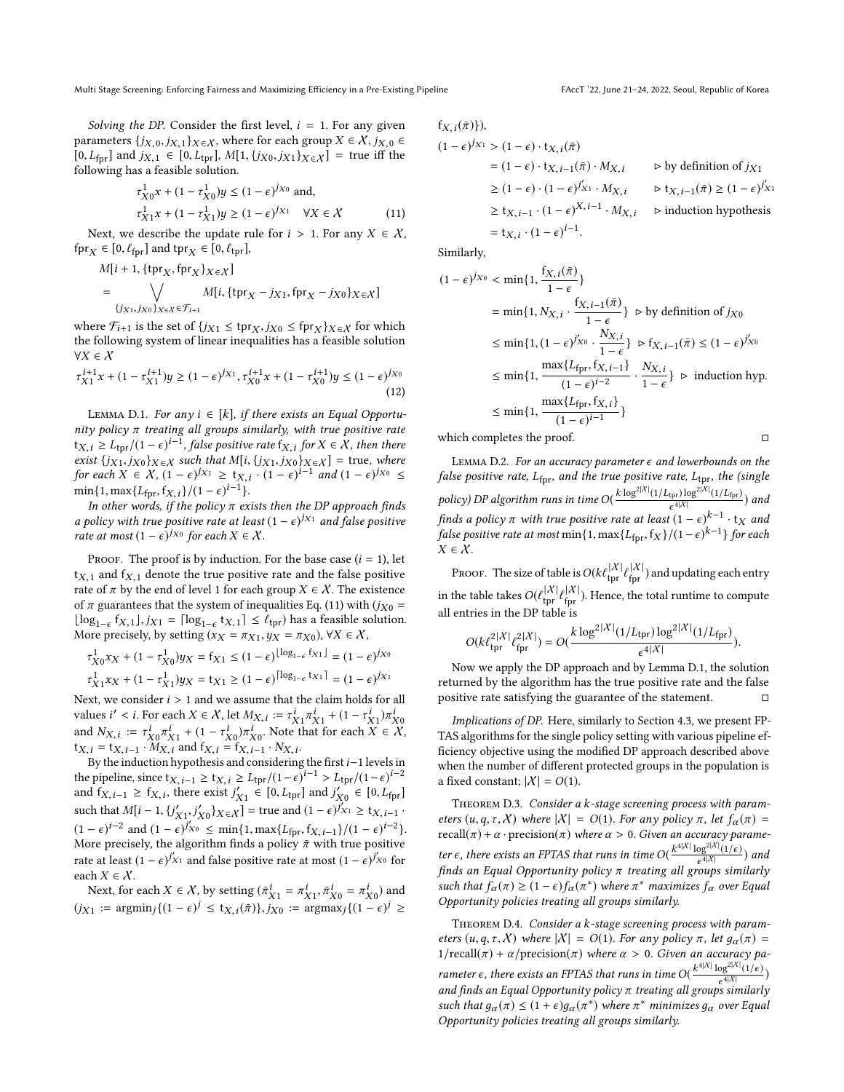Multi Stage Screening: Enforcing Fairness and Maximizing Efficiency in a Pre-Existing Pipeline FACCT '22, June 21-24, 2022, Seoul, Republic of Korea

Solving the DP. Consider the first level,  $i = 1$ . For any given parameters  $\{j_{X,0}, j_{X,1}\}_{X \in \mathcal{X}}$ , where for each group  $X \in \mathcal{X}$ ,  $j_{X,0} \in$  $[0, L_{\text{fpr}}]$  and  $j_{X,1} \in [0, L_{\text{tpr}}]$ ,  $M[1, {j_{X0}, j_{X1}}_{X \in X}] =$  true iff the following has a feasible solution.

$$
\tau_{X0}^1 x + (1 - \tau_{X0}^1) y \le (1 - \epsilon)^{j_{X0}} \text{ and,}
$$
  
\n
$$
\tau_{X1}^1 x + (1 - \tau_{X1}^1) y \ge (1 - \epsilon)^{j_{X1}} \quad \forall X \in \mathcal{X}
$$
\n(11)

Next, we describe the update rule for  $i > 1$ . For any  $X \in \mathcal{X}$ , fpr<sub>X</sub>  $\in$  [0,  $\ell_{\text{fpr}}$ ] and tpr<sub>X</sub>  $\in$  [0,  $\ell_{\text{tpr}}$ ],

$$
M[i + 1, \{ \text{tpr}_X, \text{fpr}_X \}_X \in \chi]
$$
  
= 
$$
\bigvee_{\{j_{X1}, j_{X0}\}_X \in \chi \in \mathcal{F}_{i+1}} M[i, \{ \text{tpr}_X - j_{X1}, \text{fpr}_X - j_{X0} \}_X \in \chi]
$$

where  $\mathcal{F}_{i+1}$  is the set of  $\{j_{X1} \le \text{tpr}_X, j_{X0} \le \text{fpr}_X\}_{X \in \mathcal{X}}$  for which the following system of linear inequalities has a feasible solution the following system of linear inequalities has a feasible solution  $\forall X \in \mathcal{X}$ 

$$
\tau^{i+1}_{X1}x+(1-\tau^{i+1}_{X1})y\geq (1-\epsilon)^{j_{X1}}, \tau^{i+1}_{X0}x+(1-\tau^{i+1}_{X0})y\leq (1-\epsilon)^{j_{X0}} \eqno(12)
$$

<span id="page-14-1"></span>LEMMA D.1. For any  $i \in [k]$ , if there exists an Equal Opportunity policy  $\pi$  treating all groups similarly, with true positive rate  $\text{tr}_{X,i} \geq \text{L}_{\text{tpr}}/(1-\epsilon)^{i-1}$ , false positive rate  $f_{X,i}$  for  $X \in \mathcal{X}$ , then there exist  ${j_{X1}, j_{X0}}_{X \in X}$  such that  $M[i, {j_{X1}, j_{X0}}_{X \in X}]$  = true, where for each  $X \in X$ ,  $(1 - \epsilon)^{jx_1} \ge t_{X,i}$ ,  $(1 - \epsilon)^{i-1}$  and  $(1 - \epsilon)^{jx_0} \le$ <br>min  $(1 - \epsilon)^{jx_1}$ ,  $\epsilon_{X,i}$ ,  $(1 - \epsilon)^{i-1}$  and  $(1 - \epsilon)^{jx_0} \le$  $\min\{1, \max\{L_{\text{fpr}}, f_{X,i}\}/(1-\epsilon)^{i-1}\}.$ <br>In other words, if the policy  $\pi$  ex-

In other words, if the policy  $\pi$  exists then the DP approach finds a policy with true positive rate at least  $(1 - \epsilon)^{jx_1}$  and false positive rate at most  $(1 - \epsilon)^{jx_0}$  for each  $X \in X$ rate at most  $(1 - \epsilon)^{j_{X0}}$  for each  $X \in \mathcal{X}$ .

PROOF. The proof is by induction. For the base case  $(i = 1)$ , let  $t_{X,1}$  and  $f_{X,1}$  denote the true positive rate and the false positive rate of  $\pi$  by the end of level 1 for each group  $X \in \mathcal{X}$ . The existence of  $\pi$  guarantees that the system of inequalities Eq. [\(11\)](#page-14-0) with ( $j_{X0}$  =  $\lfloor \log_{1-\epsilon} f_{X,1} \rfloor, j_{X1} = \lceil \log_{1-\epsilon} t_{X,1} \rceil \leq \ell_{\text{tpr}} \rfloor$  has a feasible solution.<br>More precisely by setting  $(y_x = \pi y_1, y_x = \pi y_0)$   $\forall X \in X$ More precisely, by setting  $(x_X = \pi_{X1}, y_X = \pi_{X0})$ ,  $\forall X \in \mathcal{X}$ ,

$$
\tau_{X0}^1 x_X + (1 - \tau_{X0}^1) y_X = f_{X1} \le (1 - \epsilon)^{\lfloor \log_{1-\epsilon} f_{X1} \rfloor} = (1 - \epsilon)^{j_{X0}}
$$
  

$$
\tau_{X1}^1 x_X + (1 - \tau_{X1}^1) y_X = t_{X1} \ge (1 - \epsilon)^{\lceil \log_{1-\epsilon} t_{X1} \rceil} = (1 - \epsilon)^{j_{X1}}
$$

Next, we consider  $i > 1$  and we assume that the claim holds for all values  $i' < i$ . For each  $X \in X$  let  $M_X$ ,  $i = \pi^i \pi^i + (1 - \pi^i \pi)^i \pi^i$ values  $i' < i$ . For each  $X \in \mathcal{X}$ , let  $M_{X,i} := \tau_{X1}^i \pi_{X1}^i + (1 - \tau_{X1}^i) \pi_{X0}^i$ <br>and  $N_{X,i} := \tau_{X0}^i \pi_{X1}^i + (1 - \tau_{X0}^i) \pi_{X0}^i$ . Note that for each  $X \in \mathcal{X}$ ,<br> $t_{X,i} = t_{X,i-1} \cdot M_{X,i}$  and  $f_{X,i} = f_{X,i-1} \cdot N_{X,i}$ .  $t_{X,i} = t_{X,i-1} \cdot M_{X,i}$  and  $f_{X,i} = f_{X,i-1} \cdot N_{X,i}$ .<br>By the induction hypothesis and considering

By the induction hypothesis and considering the first  $i-1$  levels in the pipeline, since  $\mathfrak{t}_{X,i-1} \geq \mathfrak{t}_{X,i} \geq L_{\text{tpr}}/(1-\epsilon)^{i-1} > L_{\text{tpr}}/(1-\epsilon)^{i-2}$ <br>and  $\mathfrak{t}_{X,i-1} > \mathfrak{t}_{X,i}$  there exist  $i' = [0, 1, 1]$  and  $i' = [0, 1, 1]$ and f<sub>X,i-1</sub> ≥ f<sub>X,i</sub>, there exist  $j'_{X_1} \in [0, L_{\text{tpr}}]$  and  $j'_{X_0} \in [0, L_{\text{fpr}}]$ <br>such that  $M_1$ :  $j'_{X_1}$ ,  $j'_{X_2}$  be  $M_1$  = two and  $(1, \infty)^{f_{X_1}}$  > two such that  $M[i - 1, {j'_{X1}, j'_{X0}}x \in X] = \text{true}$  and  $(1 - \epsilon)^{j'_{X1}} \ge t_{X, i-1}$ . such that  $M[l - 1, \{J_{X1}, J_{X0}\}\times \epsilon X] = \text{true}$  and  $(1 - \epsilon)^{X \times 1} \geq \tau_{X,i-1}$ .<br>  $(1 - \epsilon)^{i-2}$  and  $(1 - \epsilon)^{i}$   $\times$  min{1, max{ $L_{fpr}, f_{X,i-1}$ }/ $(1 - \epsilon)^{i-2}$ .<br>
More precisely the algorithm finds a policy  $\bar{\pi}$  with true posit More precisely, the algorithm finds a policy  $\bar{\pi}$  with true positive rate at least  $(1 - \epsilon)^{j'_{X1}}$  and false positive rate at most  $(1 - \epsilon)^{j'_{X0}}$  for each  $X \in \mathcal{X}$ .

Next, for each  $X \in \mathcal{X}$ , by setting  $(\bar{\pi}_{X1}^i = \pi_{X1}^i, \bar{\pi}_{X0}^i = \pi_{X0}^i)$  and<br> $\kappa_{X1} := \operatorname{argmin}_{X \in \mathcal{X}} \{ (1 - \epsilon)^i \leq \operatorname{tr}_{X \in \mathcal{X}} \{ \bar{\pi} \} \}$  is a gromax  $\{ (1 - \epsilon)^i > \epsilon \}$  $(j_{X1} := \text{argmin}_j \{ (1 - \epsilon)^j \leq t_{X,i}(\bar{\pi}) \}, j_{X0} := \text{argmax}_j \{ (1 - \epsilon)^j \geq$ 

 $f_{X,i}(\bar{\pi})\},$ 

$$
(1 - \epsilon)^{jX_1} > (1 - \epsilon) \cdot t_{X,i}(\bar{\pi})
$$
  
=  $(1 - \epsilon) \cdot t_{X,i-1}(\bar{\pi}) \cdot M_{X,i}$  by definition of  $j_{X1}$   
 $\geq (1 - \epsilon) \cdot (1 - \epsilon)^{j'_{X1}} \cdot M_{X,i}$   $\Rightarrow t_{X,i-1}(\bar{\pi}) \geq (1 - \epsilon)^{j'_{X1}}$   
 $\geq t_{X,i-1} \cdot (1 - \epsilon)^{X,i-1} \cdot M_{X,i}$   $\Rightarrow$  induction hypothesis  
=  $t_{X,i} \cdot (1 - \epsilon)^{i-1}$ .

<span id="page-14-0"></span>Similarly,

$$
(1 - \epsilon)^{j_{X0}} < \min\{1, \frac{f_{X,i}(\bar{\pi})}{1 - \epsilon}\}\n= \min\{1, N_{X,i} \cdot \frac{f_{X,i-1}(\bar{\pi})}{1 - \epsilon}\}\n\rightharpoonup \text{by definition of } j_{X0}\n\leq \min\{1, (1 - \epsilon)^{j'_{X0}} \cdot \frac{N_{X,i}}{1 - \epsilon}\}\n\rightharpoonup f_{X,i-1}(\bar{\pi}) \leq (1 - \epsilon)^{j'_{X0}}\n\leq \min\{1, \frac{\max\{L_{\text{fpr}}, f_{X,i-1}\}}{(1 - \epsilon)^{i-2}} \cdot \frac{N_{X,i}}{1 - \epsilon}\}\n\rightharpoonup \text{induction hyp.}
$$
\n
$$
\leq \min\{1, \frac{\max\{L_{\text{fpr}}, f_{X,i}\}}{(1 - \epsilon)^{i-1}}\}\n\leq \min\{1, \frac{\max\{L_{\text{fpr}}, f_{X,i}\}}{(1 - \epsilon)^{i-1}}\}\n\leq \infty
$$

which completes the proof.  $□$ 

LEMMA D.2. For an accuracy parameter  $\epsilon$  and lowerbounds on the false positive rate,  $L_{\text{fpr}}$ , and the true positive rate,  $L_{\text{tpr}}$ , the (single policy) DP algorithm runs in time  $O(\frac{k \log^{2|X|}(1/L_{\text{tpr}}) \log^{2|X|}(1/L_{\text{fpr}})}{\epsilon^{4|X|}})$  and finds a policy  $\pi$  with true positive rate at least  $(1 - \epsilon)^{k-1} \cdot \tau_X$  and  $\tau_{\text{obs}}$  positive rate at mort min  $(1 - \text{max}(I - \epsilon)^{k-1})(1 - \epsilon)^{k-1}$  for each false positive rate at most min $\{1, \max\{L_{\text{fpr}}, f_X\} / (1 - \epsilon)^{k-1}\}$  for each  $X \in X$  $X \in \mathcal{X}$ .

PROOF. The size of table is  $O(k\ell_{\rm tpr}^{|X|}t)$ tpr  $^{\iota}$  $\frac{|X|}{fpr}$ ) and updating each entry in the table takes  $O(\ell_{\text{tpr}}^{|X|}t)$ tpr <sup>ປ</sup><br>ເລເມ  $\frac{|X|}{\text{fpr}}$ ). Hence, the total runtime to compute all entries in the DP table is

$$
O(k \ell_{\rm tr}^{2|X|} \ell_{\rm fpr}^{2|X|}) = O(\frac{k \log^{2|X|}(1/L_{\rm tr}) \log^{2|X|}(1/L_{\rm fpr})}{\epsilon^{4|X|}}).
$$

Now we apply the DP approach and by Lemma [D.1,](#page-14-1) the solution returned by the algorithm has the true positive rate and the false positive rate satisfying the guarantee of the statement.  $□$ 

Implications of DP. Here, similarly to Section [4.3,](#page-7-0) we present FP-TAS algorithms for the single policy setting with various pipeline efficiency objective using the modified DP approach described above when the number of different protected groups in the population is a fixed constant;  $|X| = O(1)$ .

THEOREM D.3. Consider a k-stage screening process with parameters  $(u, q, \tau, \chi)$  where  $|\chi| = O(1)$ . For any policy  $\pi$ , let  $f_{\alpha}(\pi) =$ recall( $\pi$ ) +  $\alpha$  · precision( $\pi$ ) where  $\alpha$  > 0. Given an accuracy parameter  $\epsilon$ , there exists an FPTAS that runs in time  $O(\frac{k^{4|X|} \log^{2|X|}(1/\epsilon)}{\epsilon^{4|X|}})$  and finds an Equal Opportunity policy  $\pi$  traction all groups eimilarly finds an Equal Opportunity policy  $\pi$  treating all groups similarly<br>such that  $f(\pi) > (1-\epsilon)f(\pi^*)$  where  $\pi^*$  maximizes  $f$  over Equal such that  $\hat{f}_{\alpha}(\pi) \geq (1 - \epsilon) f_{\alpha}(\pi^*)$  where  $\pi^*$  maximizes  $f_{\alpha}$  over Equal<br>Opportunity policies tracting all groups similarly Opportunity policies treating all groups similarly.

THEOREM D.4. Consider a k-stage screening process with parameters  $(u, q, \tau, \chi)$  where  $|\chi| = O(1)$ . For any policy  $\pi$ , let  $g_{\alpha}(\pi) =$  $1/\text{recall}(\pi) + \alpha/\text{precision}(\pi)$  where  $\alpha > 0$ . Given an accuracy parameter  $\epsilon$ , there exists an FPTAS that runs in time  $O(\frac{k^{4|X|} \log^{2|X|}(1/\epsilon)}{\epsilon^{4|X|}})$ and finds an Equal Opportunity policy  $\pi$  treating all groups similarly<br>such that  $a_{\pi}(\pi) < (1 + \epsilon)a_{\pi}(\pi^*)$  where  $\pi^*$  minimizes a sover Equal such that  $g_{\alpha}(\pi) \leq (1+\epsilon)g_{\alpha}(\pi^*)$  where  $\pi^*$  minimizes  $g_{\alpha}$  over Equal<br>Opportunity policies tracting all groups similarly Opportunity policies treating all groups similarly.